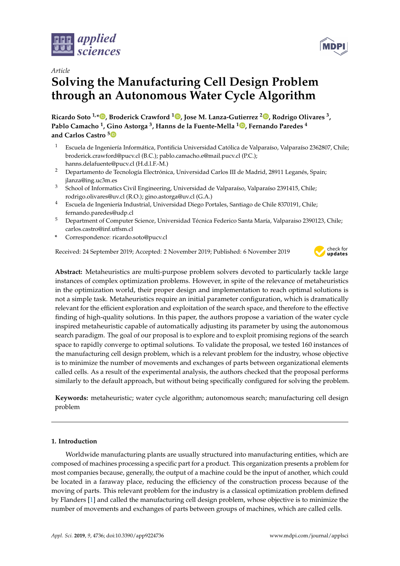



# *Article* **Solving the Manufacturing Cell Design Problem through an Autonomous Water Cycle Algorithm**

**Ricardo Soto 1,[\\*](https://orcid.org/0000-0002-5755-6929) , Broderick Crawford <sup>1</sup> [,](https://orcid.org/0000-0001-5500-0188) Jose M. Lanza-Gutierrez <sup>2</sup> [,](https://orcid.org/0000-0002-1083-5015) Rodrigo Olivares <sup>3</sup> , Pablo Camacho <sup>1</sup> , Gino Astorga <sup>3</sup> , Hanns de la Fuente-Mella <sup>1</sup> [,](https://orcid.org/0000-0003-2564-8770) Fernando Paredes <sup>4</sup> and Carlos Castro [5](https://orcid.org/0000-0000-000-000X)**

- <sup>1</sup> Escuela de Ingeniería Informática, Pontificia Universidad Católica de Valparaíso, Valparaíso 2362807, Chile; broderick.crawford@pucv.cl (B.C.); pablo.camacho.e@mail.pucv.cl (P.C.); hanns.delafuente@pucv.cl (H.d.l.F.-M.)
- <sup>2</sup> Departamento de Tecnología Electrónica, Universidad Carlos III de Madrid, 28911 Leganés, Spain; jlanza@ing.uc3m.es
- <sup>3</sup> School of Informatics Civil Engineering, Universidad de Valparaíso, Valparaíso 2391415, Chile; rodrigo.olivares@uv.cl (R.O.); gino.astorga@uv.cl (G.A.)
- <sup>4</sup> Escuela de Ingeniería Industrial, Universidad Diego Portales, Santiago de Chile 8370191, Chile; fernando.paredes@udp.cl
- <sup>5</sup> Department of Computer Science, Universidad Técnica Federico Santa María, Valparaiso 2390123, Chile; carlos.castro@inf.utfsm.cl
- **\*** Correspondence: ricardo.soto@pucv.cl

Received: 24 September 2019; Accepted: 2 November 2019; Published: 6 November 2019



**Abstract:** Metaheuristics are multi-purpose problem solvers devoted to particularly tackle large instances of complex optimization problems. However, in spite of the relevance of metaheuristics in the optimization world, their proper design and implementation to reach optimal solutions is not a simple task. Metaheuristics require an initial parameter configuration, which is dramatically relevant for the efficient exploration and exploitation of the search space, and therefore to the effective finding of high-quality solutions. In this paper, the authors propose a variation of the water cycle inspired metaheuristic capable of automatically adjusting its parameter by using the autonomous search paradigm. The goal of our proposal is to explore and to exploit promising regions of the search space to rapidly converge to optimal solutions. To validate the proposal, we tested 160 instances of the manufacturing cell design problem, which is a relevant problem for the industry, whose objective is to minimize the number of movements and exchanges of parts between organizational elements called cells. As a result of the experimental analysis, the authors checked that the proposal performs similarly to the default approach, but without being specifically configured for solving the problem.

**Keywords:** metaheuristic; water cycle algorithm; autonomous search; manufacturing cell design problem

# **1. Introduction**

Worldwide manufacturing plants are usually structured into manufacturing entities, which are composed of machines processing a specific part for a product. This organization presents a problem for most companies because, generally, the output of a machine could be the input of another, which could be located in a faraway place, reducing the efficiency of the construction process because of the moving of parts. This relevant problem for the industry is a classical optimization problem defined by Flanders [\[1\]](#page-18-0) and called the manufacturing cell design problem, whose objective is to minimize the number of movements and exchanges of parts between groups of machines, which are called cells.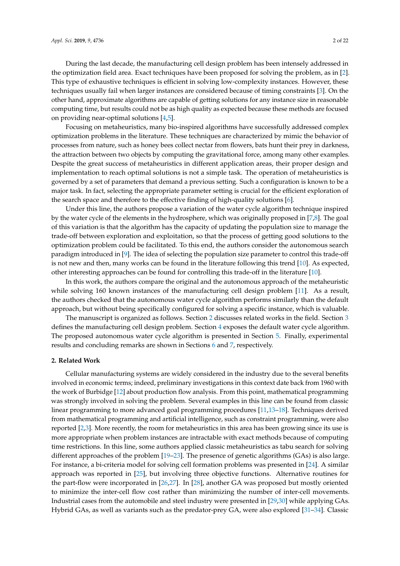During the last decade, the manufacturing cell design problem has been intensely addressed in the optimization field area. Exact techniques have been proposed for solving the problem, as in [\[2\]](#page-18-1). This type of exhaustive techniques is efficient in solving low-complexity instances. However, these techniques usually fail when larger instances are considered because of timing constraints [\[3\]](#page-18-2). On the other hand, approximate algorithms are capable of getting solutions for any instance size in reasonable computing time, but results could not be as high quality as expected because these methods are focused on providing near-optimal solutions [\[4,](#page-18-3)[5\]](#page-18-4).

Focusing on metaheuristics, many bio-inspired algorithms have successfully addressed complex optimization problems in the literature. These techniques are characterized by mimic the behavior of processes from nature, such as honey bees collect nectar from flowers, bats hunt their prey in darkness, the attraction between two objects by computing the gravitational force, among many other examples. Despite the great success of metaheuristics in different application areas, their proper design and implementation to reach optimal solutions is not a simple task. The operation of metaheuristics is governed by a set of parameters that demand a previous setting. Such a configuration is known to be a major task. In fact, selecting the appropriate parameter setting is crucial for the efficient exploration of the search space and therefore to the effective finding of high-quality solutions [\[6\]](#page-18-5).

Under this line, the authors propose a variation of the water cycle algorithm technique inspired by the water cycle of the elements in the hydrosphere, which was originally proposed in [\[7](#page-19-0)[,8\]](#page-19-1). The goal of this variation is that the algorithm has the capacity of updating the population size to manage the trade-off between exploration and exploitation, so that the process of getting good solutions to the optimization problem could be facilitated. To this end, the authors consider the autonomous search paradigm introduced in [\[9\]](#page-19-2). The idea of selecting the population size parameter to control this trade-off is not new and then, many works can be found in the literature following this trend [\[10\]](#page-19-3). As expected, other interesting approaches can be found for controlling this trade-off in the literature [\[10\]](#page-19-3).

In this work, the authors compare the original and the autonomous approach of the metaheuristic while solving 160 known instances of the manufacturing cell design problem [\[11\]](#page-19-4). As a result, the authors checked that the autonomous water cycle algorithm performs similarly than the default approach, but without being specifically configured for solving a specific instance, which is valuable.

The manuscript is organized as follows. Section [2](#page-1-0) discusses related works in the field. Section [3](#page-2-0) defines the manufacturing cell design problem. Section [4](#page-4-0) exposes the default water cycle algorithm. The proposed autonomous water cycle algorithm is presented in Section [5.](#page-7-0) Finally, experimental results and concluding remarks are shown in Sections [6](#page-9-0) and [7,](#page-18-6) respectively.

#### <span id="page-1-0"></span>**2. Related Work**

Cellular manufacturing systems are widely considered in the industry due to the several benefits involved in economic terms; indeed, preliminary investigations in this context date back from 1960 with the work of Burbidge [\[12\]](#page-19-5) about production flow analysis. From this point, mathematical programming was strongly involved in solving the problem. Several examples in this line can be found from classic linear programming to more advanced goal programming procedures [\[11](#page-19-4)[,13–](#page-19-6)[18\]](#page-19-7). Techniques derived from mathematical programming and artificial intelligence, such as constraint programming, were also reported [\[2,](#page-18-1)[3\]](#page-18-2). More recently, the room for metaheuristics in this area has been growing since its use is more appropriate when problem instances are intractable with exact methods because of computing time restrictions. In this line, some authors applied classic metaheuristics as tabu search for solving different approaches of the problem [\[19](#page-19-8)[–23\]](#page-19-9). The presence of genetic algorithms (GAs) is also large. For instance, a bi-criteria model for solving cell formation problems was presented in [\[24\]](#page-19-10). A similar approach was reported in [\[25\]](#page-19-11), but involving three objective functions. Alternative routines for the part-flow were incorporated in [\[26,](#page-19-12)[27\]](#page-19-13). In [\[28\]](#page-19-14), another GA was proposed but mostly oriented to minimize the inter-cell flow cost rather than minimizing the number of inter-cell movements. Industrial cases from the automobile and steel industry were presented in [\[29,](#page-19-15)[30\]](#page-19-16) while applying GAs. Hybrid GAs, as well as variants such as the predator-prey GA, were also explored [\[31–](#page-19-17)[34\]](#page-20-0). Classic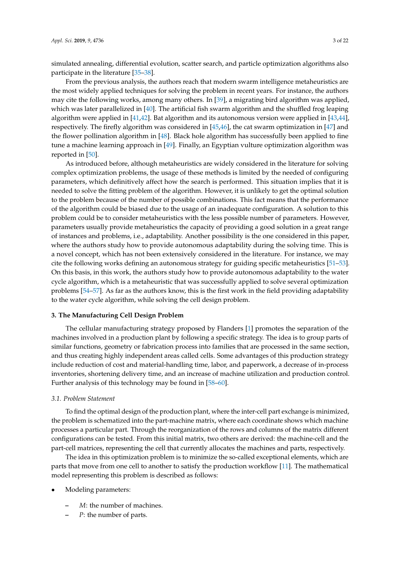simulated annealing, differential evolution, scatter search, and particle optimization algorithms also participate in the literature [\[35–](#page-20-1)[38\]](#page-20-2).

From the previous analysis, the authors reach that modern swarm intelligence metaheuristics are the most widely applied techniques for solving the problem in recent years. For instance, the authors may cite the following works, among many others. In [\[39\]](#page-20-3), a migrating bird algorithm was applied, which was later parallelized in [\[40\]](#page-20-4). The artificial fish swarm algorithm and the shuffled frog leaping algorithm were applied in [\[41](#page-20-5)[,42\]](#page-20-6). Bat algorithm and its autonomous version were applied in [\[43,](#page-20-7)[44\]](#page-20-8), respectively. The firefly algorithm was considered in [\[45,](#page-20-9)[46\]](#page-20-10), the cat swarm optimization in [\[47\]](#page-20-11) and the flower pollination algorithm in [\[48\]](#page-20-12). Black hole algorithm has successfully been applied to fine tune a machine learning approach in [\[49\]](#page-20-13). Finally, an Egyptian vulture optimization algorithm was reported in [\[50\]](#page-20-14).

As introduced before, although metaheuristics are widely considered in the literature for solving complex optimization problems, the usage of these methods is limited by the needed of configuring parameters, which definitively affect how the search is performed. This situation implies that it is needed to solve the fitting problem of the algorithm. However, it is unlikely to get the optimal solution to the problem because of the number of possible combinations. This fact means that the performance of the algorithm could be biased due to the usage of an inadequate configuration. A solution to this problem could be to consider metaheuristics with the less possible number of parameters. However, parameters usually provide metaheuristics the capacity of providing a good solution in a great range of instances and problems, i.e., adaptability. Another possibility is the one considered in this paper, where the authors study how to provide autonomous adaptability during the solving time. This is a novel concept, which has not been extensively considered in the literature. For instance, we may cite the following works defining an autonomous strategy for guiding specific metaheuristics [\[51–](#page-21-0)[53\]](#page-21-1). On this basis, in this work, the authors study how to provide autonomous adaptability to the water cycle algorithm, which is a metaheuristic that was successfully applied to solve several optimization problems [\[54](#page-21-2)[–57\]](#page-21-3). As far as the authors know, this is the first work in the field providing adaptability to the water cycle algorithm, while solving the cell design problem.

## <span id="page-2-0"></span>**3. The Manufacturing Cell Design Problem**

The cellular manufacturing strategy proposed by Flanders [\[1\]](#page-18-0) promotes the separation of the machines involved in a production plant by following a specific strategy. The idea is to group parts of similar functions, geometry or fabrication process into families that are processed in the same section, and thus creating highly independent areas called cells. Some advantages of this production strategy include reduction of cost and material-handling time, labor, and paperwork, a decrease of in-process inventories, shortening delivery time, and an increase of machine utilization and production control. Further analysis of this technology may be found in [\[58–](#page-21-4)[60\]](#page-21-5).

### *3.1. Problem Statement*

To find the optimal design of the production plant, where the inter-cell part exchange is minimized, the problem is schematized into the part-machine matrix, where each coordinate shows which machine processes a particular part. Through the reorganization of the rows and columns of the matrix different configurations can be tested. From this initial matrix, two others are derived: the machine-cell and the part-cell matrices, representing the cell that currently allocates the machines and parts, respectively.

The idea in this optimization problem is to minimize the so-called exceptional elements, which are parts that move from one cell to another to satisfy the production workflow [\[11\]](#page-19-4). The mathematical model representing this problem is described as follows:

- Modeling parameters:
	- **–** *M*: the number of machines.
	- **–** *P*: the number of parts.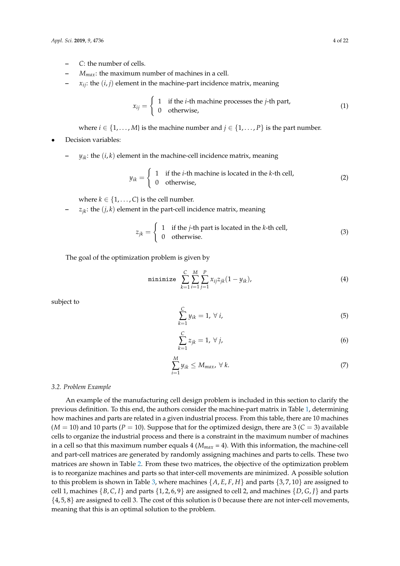- **–** *C*: the number of cells.
- **–** *Mmax*: the maximum number of machines in a cell.
- **–** *xij*: the (*i*, *j*) element in the machine-part incidence matrix, meaning

$$
x_{ij} = \begin{cases} 1 & \text{if the } i \text{-th machine processes the } j \text{-th part,} \\ 0 & \text{otherwise,} \end{cases}
$$
 (1)

where *i*  $\in$  {1, . . . , *M*} is the machine number and *j*  $\in$  {1, . . . , *P*} is the part number.

# • Decision variables:

 $y_{ik}$ : the  $(i, k)$  element in the machine-cell incidence matrix, meaning

$$
y_{ik} = \begin{cases} 1 & \text{if the } i \text{-th machine is located in the } k \text{-th cell,} \\ 0 & \text{otherwise,} \end{cases}
$$
 (2)

where  $k \in \{1, \ldots, C\}$  is the cell number.

 $z_{ik}$ : the  $(j, k)$  element in the part-cell incidence matrix, meaning

$$
z_{jk} = \begin{cases} 1 & \text{if the } j\text{-th part is located in the } k\text{-th cell,} \\ 0 & \text{otherwise.} \end{cases}
$$
 (3)

The goal of the optimization problem is given by

<span id="page-3-0"></span>minimize 
$$
\sum_{k=1}^{C} \sum_{i=1}^{M} \sum_{j=1}^{P} x_{ij} z_{jk} (1 - y_{ik}),
$$
 (4)

subject to

$$
\sum_{k=1}^{C} y_{ik} = 1, \forall i,
$$
\n<sup>(5)</sup>

$$
\sum_{k=1}^{C} z_{jk} = 1, \forall j,
$$
\n
$$
(6)
$$

$$
\sum_{i=1}^{M} y_{ik} \le M_{max}, \ \forall \ k.
$$
 (7)

#### *3.2. Problem Example*

An example of the manufacturing cell design problem is included in this section to clarify the previous definition. To this end, the authors consider the machine-part matrix in Table [1,](#page-4-1) determining how machines and parts are related in a given industrial process. From this table, there are 10 machines  $(M = 10)$  and 10 parts ( $P = 10$ ). Suppose that for the optimized design, there are 3 ( $C = 3$ ) available cells to organize the industrial process and there is a constraint in the maximum number of machines in a cell so that this maximum number equals 4 (*Mmax* = 4). With this information, the machine-cell and part-cell matrices are generated by randomly assigning machines and parts to cells. These two matrices are shown in Table [2.](#page-4-2) From these two matrices, the objective of the optimization problem is to reorganize machines and parts so that inter-cell movements are minimized. A possible solution to this problem is shown in Table [3,](#page-4-3) where machines  $\{A, E, F, H\}$  and parts  $\{3, 7, 10\}$  are assigned to cell 1, machines  $\{B, C, I\}$  and parts  $\{1, 2, 6, 9\}$  are assigned to cell 2, and machines  $\{D, G, J\}$  and parts {4, 5, 8} are assigned to cell 3. The cost of this solution is 0 because there are not inter-cell movements, meaning that this is an optimal solution to the problem.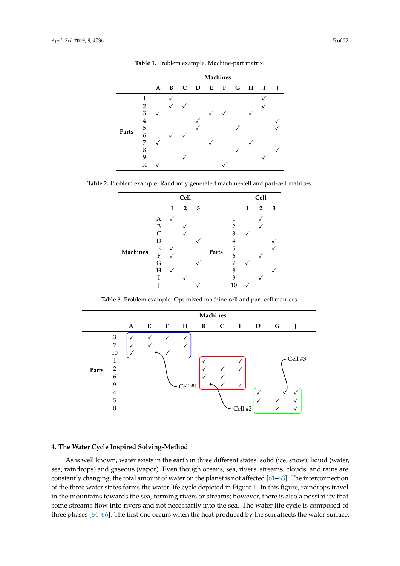<span id="page-4-1"></span>

|       |                |   | <b>Machines</b> |   |              |   |   |   |              |             |   |  |  |  |  |
|-------|----------------|---|-----------------|---|--------------|---|---|---|--------------|-------------|---|--|--|--|--|
|       |                | A | B               | C | $\mathbf{D}$ | E | F | G | $\mathbf{H}$ | $\mathbf I$ | ı |  |  |  |  |
|       | 1              |   |                 |   |              |   |   |   |              |             |   |  |  |  |  |
|       | $\overline{2}$ |   |                 |   |              |   |   |   |              |             |   |  |  |  |  |
|       | 3              |   |                 |   |              |   |   |   |              |             |   |  |  |  |  |
|       | 4              |   |                 |   |              |   |   |   |              |             |   |  |  |  |  |
|       | 5              |   |                 |   |              |   |   |   |              |             |   |  |  |  |  |
| Parts | 6              |   |                 |   |              |   |   |   |              |             |   |  |  |  |  |
|       | 7              |   |                 |   |              |   |   |   |              |             |   |  |  |  |  |
|       | 8              |   |                 |   |              |   |   |   |              |             |   |  |  |  |  |
|       | 9              |   |                 |   |              |   |   |   |              |             |   |  |  |  |  |
|       | 10             |   |                 |   |              |   |   |   |              |             |   |  |  |  |  |

**Table 1.** Problem example. Machine-part matrix. **Table 1.** Problem example. Machine-part matrix.

<span id="page-4-2"></span>**Table 2.** Problem example. Randomly generated machine-cell and part-cell matrices. **Table 2.** Problem example. Randomly generated machine-cell and part-cell matrices.

|                 |           |   | Cell           |   |       |                |              | Cell           |   |
|-----------------|-----------|---|----------------|---|-------|----------------|--------------|----------------|---|
|                 |           | 1 | $\overline{2}$ | 3 |       |                | $\mathbf{1}$ | $\overline{2}$ | 3 |
|                 | А         |   |                |   |       | 1              |              |                |   |
|                 | B         |   |                |   |       | 2              |              |                |   |
|                 | $\subset$ |   |                |   |       | 3              |              |                |   |
|                 | D         |   |                |   |       | $\overline{4}$ |              |                |   |
| <b>Machines</b> | E         |   |                |   | Parts | 5              |              |                |   |
|                 | F         |   |                |   |       | 6              |              |                |   |
|                 | G         |   |                |   |       | 7              |              |                |   |
|                 | Н         |   |                |   |       | 8              |              |                |   |
|                 |           |   |                |   |       | q              |              |                |   |
|                 |           |   |                |   |       | 10             |              |                |   |

**Table 3.** Problem example. Optimized machine-cell and part-cell matrices. **Table 3.** Problem example. Optimized machine-cell and part-cell matrices.

<span id="page-4-3"></span>

# <span id="page-4-0"></span>As is well known, water exists in the earth in the earth in three different states: solid (ice, snow), liquid (water, snow), liquid (water, snow), liquid (water, snow), liquid (water, snow), liquid (water, snow), liquid ( sea, raindrops) and gaseous (vapor). Even though oceans, sea, rivers, streams, clouds, and rains are **4. The Water Cycle Inspired Solving-Method**

As is well known, water exists in the earth in three different states: solid (ice, snow), liquid (water, sea, raindrops) and gaseous (vapor). Even though oceans, sea, rivers, streams, clouds, and rains are constantly changing, the total amount of water on the planet is not affected [61–63]. The interconnection of the thre[e w](#page--1-0)ater states forms the water life cycle depicted in Figure 1. In this figure, raindrops travel in the mountains towards the sea, forming rivers or streams; however, there is also a possibility that some streams flow into rivers and not necessarily into the sea. The water life cycle is composed of three phases [64–66]. The first one occurs when the heat [pr](#page-21-8)oduced by the sun affects the water surface,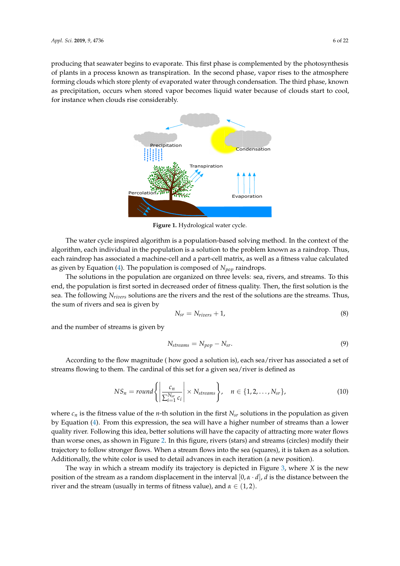producing that seawater begins to evaporate. This first phase is complemented by the photosynthesis of plants in a process known as transpiration. In the second phase, vapor rises to the atmosphere forming clouds which store plenty of evaporated water through condensation. The third phase, known as precipitation, occurs when stored vapor becomes liquid water because of clouds start to cool, for instance when clouds rise considerably.



**Figure 1.** Hydrological water cycle.

The water cycle inspired algorithm is a population-based solving method. In the context of the algorithm, each individual in the population is a solution to the problem known as a raindrop. Thus, each raindrop has associated a machine-cell and a part-cell matrix, as well as a fitness value calculated as given by Equation [\(4\)](#page-3-0). The population is composed of  $N_{pop}$  raindrops.

The solutions in the population are organized on three levels: sea, rivers, and streams. To this end, the population is first sorted in decreased order of fitness quality. Then, the first solution is the sea. The following *Nrivers* solutions are the rivers and the rest of the solutions are the streams. Thus, the sum of rivers and sea is given by

$$
N_{sr} = N_{rivers} + 1,\tag{8}
$$

and the number of streams is given by

$$
N_{\text{streams}} = N_{\text{pop}} - N_{\text{sr}}.\tag{9}
$$

According to the flow magnitude ( how good a solution is), each sea/river has associated a set of streams flowing to them. The cardinal of this set for a given sea/river is defined as

$$
NS_n = round \left\{ \left| \frac{c_n}{\sum_{i=1}^{N_{sr}} c_i} \right| \times N_{\text{stream}} \right\}, \quad n \in \{1, 2, \dots, N_{sr}\},
$$
 (10)

where  $c_n$  is the fitness value of the *n*-th solution in the first  $N_{sr}$  solutions in the population as given by Equation [\(4\)](#page-3-0). From this expression, the sea will have a higher number of streams than a lower quality river. Following this idea, better solutions will have the capacity of attracting more water flows than worse ones, as shown in Figure [2.](#page-6-0) In this figure, rivers (stars) and streams (circles) modify their trajectory to follow stronger flows. When a stream flows into the sea (squares), it is taken as a solution. Additionally, the white color is used to detail advances in each iteration (a new position).

The way in which a stream modify its trajectory is depicted in Figure [3,](#page-6-1) where *X* is the new position of the stream as a random displacement in the interval [0, *α* · *d*], *d* is the distance between the river and the stream (usually in terms of fitness value), and  $\alpha \in (1,2)$ .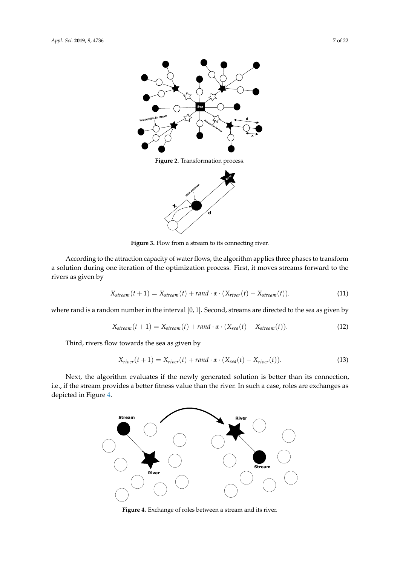<span id="page-6-0"></span>

**Figure 2.** Transformation process.



Figure 3. Flow from a stream to its connecting river.

<span id="page-6-1"></span>According to the attraction capacity of water flows, the algorithm applies three phases to transform a solution during one iteration of the optimization process. First, it moves streams forward to the rivers as given by

<span id="page-6-3"></span>
$$
X_{stream}(t+1) = X_{stream}(t) + rand \cdot \alpha \cdot (X_{river}(t) - X_{stream}(t)). \qquad (11)
$$

where rand is a random number in the interval [0, 1]. Second, streams are directed to the sea as given by

<span id="page-6-4"></span>
$$
X_{stream}(t+1) = X_{stream}(t) + rand \cdot \alpha \cdot (X_{sea}(t) - X_{stream}(t)). \tag{12}
$$

Third, rivers flow towards the sea as given by

<span id="page-6-5"></span>
$$
X_{river}(t+1) = X_{river}(t) + rand \cdot \alpha \cdot (X_{sea}(t) - X_{river}(t)). \tag{13}
$$

<span id="page-6-2"></span>Next, the algorithm evaluates if the newly generated solution is better than its connection, i.e., if the stream provides a better fitness value than the river. In such a case, roles are exchanges as depicted in Figure [4.](#page-6-2)



**Figure 4.** Exchange of roles between a stream and its river.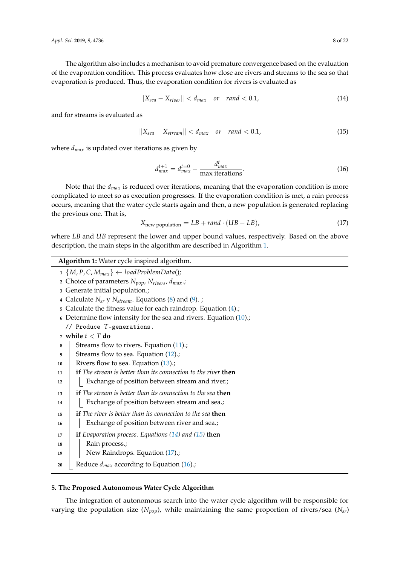The algorithm also includes a mechanism to avoid premature convergence based on the evaluation of the evaporation condition. This process evaluates how close are rivers and streams to the sea so that evaporation is produced. Thus, the evaporation condition for rivers is evaluated as

<span id="page-7-2"></span>
$$
||X_{sea}-X_{river}|| < d_{max} \quad or \quad rand < 0.1,
$$
\n(14)

and for streams is evaluated as

<span id="page-7-3"></span>
$$
\|X_{sea}-X_{stream}\|
$$

where *dmax* is updated over iterations as given by

<span id="page-7-5"></span>
$$
d_{max}^{t+1} = d_{max}^{t=0} - \frac{d_{max}^t}{\max \text{ iterations}}.
$$
\n(16)

Note that the *dmax* is reduced over iterations, meaning that the evaporation condition is more complicated to meet so as execution progresses. If the evaporation condition is met, a rain process occurs, meaning that the water cycle starts again and then, a new population is generated replacing the previous one. That is,

<span id="page-7-4"></span>
$$
Xnew population = LB + rand \cdot (UB - LB),
$$
 (17)

where *LB* and *UB* represent the lower and upper bound values, respectively. Based on the above description, the main steps in the algorithm are described in Algorithm [1.](#page-7-1)

# **Algorithm 1:** Water cycle inspired algorithm.

 $1 \{M, P, C, M_{max}\} \leftarrow loadProblemData();$ 

**<sup>2</sup>** Choice of parameters *Npop*, *Nrivers*, *dmax*.;

**<sup>3</sup>** Generate initial population.;

**<sup>4</sup>** Calculate *Nsr* y *Nstream*. Equations [\(8\)](#page--1-1) and [\(9\)](#page--1-2). ;

- **<sup>5</sup>** Calculate the fitness value for each raindrop. Equation [\(4\)](#page-3-0).;
- **<sup>6</sup>** Determine flow intensity for the sea and rivers. Equation [\(10\)](#page--1-3).;

// Produce *T*-generations.

```
7 while t < T do
```
- **8** Streams flow to rivers. Equation [\(11\)](#page-6-3).;
- **<sup>9</sup>** Streams flow to sea. Equation [\(12\)](#page-6-4).;
- 10 **Rivers flow to sea. Equation [\(13\)](#page-6-5).;**
- **<sup>11</sup> if** *The stream is better than its connection to the river* **then**
- 12 | Exchange of position between stream and river.;
- **<sup>13</sup> if** *The stream is better than its connection to the sea* **then**
- 14 | Exchange of position between stream and sea.;
- **<sup>15</sup> if** *The river is better than its connection to the sea* **then**

16 | Exchange of position between river and sea.;

- **<sup>17</sup> if** *Evaporation process. Equations [\(14\)](#page-7-2) and [\(15\)](#page-7-3)* **then**
- 18 | Rain process.;

19 | New Raindrops. Equation [\(17\)](#page-7-4).;

<span id="page-7-1"></span>**<sup>20</sup>** Reduce *dmax* according to Equation [\(16\)](#page-7-5).;

# <span id="page-7-0"></span>**5. The Proposed Autonomous Water Cycle Algorithm**

The integration of autonomous search into the water cycle algorithm will be responsible for varying the population size (*Npop*), while maintaining the same proportion of rivers/sea (*Nsr*)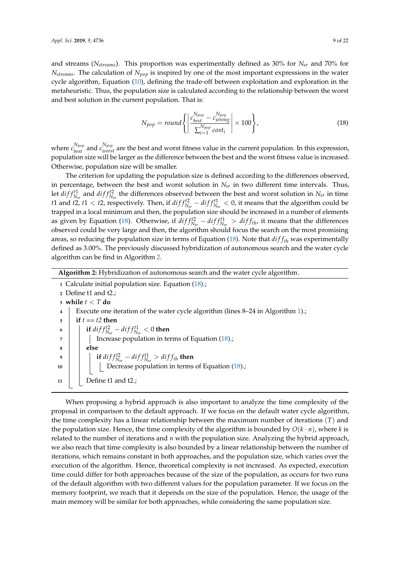and streams (*Nstreams*). This proportion was experimentally defined as 30% for *Nsr* and 70% for *Nstreams*. The calculation of *Npop* is inspired by one of the most important expressions in the water cycle algorithm, Equation [\(10\)](#page--1-3), defining the trade-off between exploitation and exploration in the metaheuristic. Thus, the population size is calculated according to the relationship between the worst and best solution in the current population. That is:

<span id="page-8-0"></span>
$$
N_{pop} = round \left\{ \left| \frac{c_{best}^{N_{pop}} - c_{wrong}^{N_{pop}}}{\sum_{i=1}^{N_{pop}} cost_i} \right| \times 100 \right\},
$$
\n(18)

where  $c_{best}^{N_{pop}}$  and  $c_{worst}^{N_{pop}}$  are the best and worst fitness value in the current population. In this expression, population size will be larger as the difference between the best and the worst fitness value is increased. Otherwise, population size will be smaller.

The criterion for updating the population size is defined according to the differences observed, in percentage, between the best and worst solution in *Nsr* in two different time intervals. Thus, let  $diff_{N_{sr}}^{t1}$  and  $diff_{N_{sr}}^{t2}$  the differences observed between the best and worst solution in  $N_{sr}$  in time *t* 1 and *t* 2, *t* 1 < *t* 2, respectively. Then, if  $diff_{N_{sr}}^{f2} - diff_{N_{sr}}^{f1} < 0$ , it means that the algorithm could be trapped in a local minimum and then, the population size should be increased in a number of elements as given by Equation [\(18\)](#page-8-0). Otherwise, if  $diff_{N_{sr}}^{t2} - diff_{N_{sr}}^{t1} > diff_{th}$ , it means that the differences observed could be very large and then, the algorithm should focus the search on the most promising areas, so reducing the population size in terms of Equation [\(18\)](#page-8-0). Note that *di f fth* was experimentally defined as 3.00%. The previously discussed hybridization of autonomous search and the water cycle algorithm can be find in Algorithm [2.](#page-8-1)

## **Algorithm 2:** Hybridization of autonomous search and the water cycle algorithm.

 Calculate initial population size. Equation [\(18\)](#page-8-0).; Define t1 and t2.; **while** *t* < *T* **do** Execute one iteration of the water cycle algorithm (lines 8–24 in Algorithm [1\)](#page-7-1).;  $\bf{5}$  **if**  $t == t2$  **then**   $\|$  **if**  $diff_{N_{sr}}^{t2} - diff_{N_{sr}}^{t1} < 0$  then **7 I** Increase population in terms of Equation [\(18\)](#page-8-0).; **<sup>8</sup> else i if**  $diff_{N_{sr}}^{t2} - diff_{N_{sr}}^{t1} > diff_{th}$  then 10 | | | Decrease population in terms of Equation [\(18\)](#page-8-0).; Define t1 and t2.;

<span id="page-8-1"></span>When proposing a hybrid approach is also important to analyze the time complexity of the proposal in comparison to the default approach. If we focus on the default water cycle algorithm, the time complexity has a linear relationship between the maximum number of iterations (*T*) and the population size. Hence, the time complexity of the algorithm is bounded by  $O(k \cdot n)$ , where *k* is related to the number of iterations and *n* with the population size. Analyzing the hybrid approach, we also reach that time complexity is also bounded by a linear relationship between the number of iterations, which remains constant in both approaches, and the population size, which varies over the execution of the algorithm. Hence, theoretical complexity is not increased. As expected, execution time could differ for both approaches because of the size of the population, as occurs for two runs of the default algorithm with two different values for the population parameter. If we focus on the memory footprint, we reach that it depends on the size of the population. Hence, the usage of the main memory will be similar for both approaches, while considering the same population size.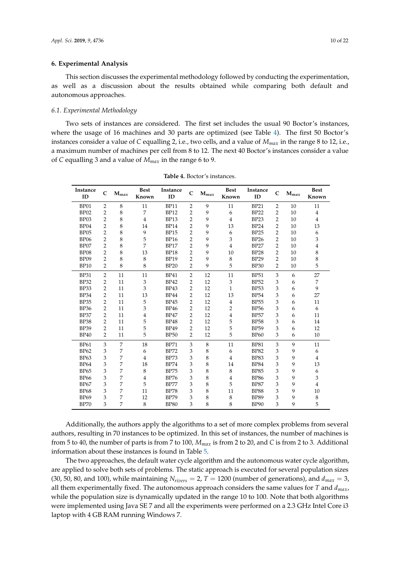## <span id="page-9-0"></span>**6. Experimental Analysis**

This section discusses the experimental methodology followed by conducting the experimentation, as well as a discussion about the results obtained while comparing both default and autonomous approaches.

#### *6.1. Experimental Methodology*

Two sets of instances are considered. The first set includes the usual 90 Boctor's instances, where the usage of 16 machines and 30 parts are optimized (see Table [4\)](#page-9-1). The first 50 Boctor's instances consider a value of *C* equalling 2, i.e., two cells, and a value of *Mmax* in the range 8 to 12, i.e., a maximum number of machines per cell from 8 to 12. The next 40 Boctor's instances consider a value of *C* equalling 3 and a value of *Mmax* in the range 6 to 9.

<span id="page-9-1"></span>

| Instance<br>ID   | $\mathbf C$      | $M_{max}$ | Best<br>Known  | Instance<br>ID | C              | $\mathbf{M}_{max}$ | <b>Best</b><br>Known      | Instance<br>ID | $\mathbf C$               | $M_{max}$ | <b>Best</b><br>Known |
|------------------|------------------|-----------|----------------|----------------|----------------|--------------------|---------------------------|----------------|---------------------------|-----------|----------------------|
| BP01             | $\overline{2}$   | 8         | 11             | <b>BP11</b>    | 2              | 9                  | 11                        | <b>BP21</b>    | $\overline{2}$            | 10        | 11                   |
| BP02             | $\overline{2}$   | 8         | 7              | <b>BP12</b>    | $\overline{2}$ | 9                  | 6                         | <b>BP22</b>    | 2                         | 10        | $\overline{4}$       |
| BP03             | $\overline{2}$   | 8         | $\overline{4}$ | <b>BP13</b>    | $\overline{2}$ | 9                  | $\,4\,$                   | <b>BP23</b>    | $\overline{2}$            | 10        | $\overline{4}$       |
| BP04             | $\overline{2}$   | 8         | 14             | <b>BP14</b>    | $\overline{2}$ | 9                  | 13                        | <b>BP24</b>    | $\overline{2}$            | 10        | 13                   |
| BP <sub>05</sub> | $\overline{2}$   | 8         | 9              | <b>BP15</b>    | $\overline{2}$ | 9                  | 6                         | <b>BP25</b>    | $\overline{2}$            | 10        | 6                    |
| <b>BP06</b>      | $\overline{2}$   | 8         | 5              | <b>BP16</b>    | $\overline{2}$ | 9                  | 3                         | <b>BP26</b>    | 2                         | 10        | 3                    |
| BP07             | $\overline{2}$   | 8         | 7              | <b>BP17</b>    | $\overline{2}$ | 9                  | $\overline{4}$            | <b>BP27</b>    | $\overline{2}$            | 10        | $\overline{4}$       |
| <b>BP08</b>      | $\boldsymbol{2}$ | 8         | 13             | <b>BP18</b>    | $\overline{c}$ | 9                  | 10                        | <b>BP28</b>    | $\overline{2}$            | 10        | 8                    |
| BP <sub>09</sub> | $\overline{2}$   | 8         | 8              | <b>BP19</b>    | $\overline{2}$ | 9                  | $\,8\,$                   | <b>BP29</b>    | $\overline{2}$            | 10        | 8                    |
| <b>BP10</b>      | $\overline{2}$   | 8         | 8              | <b>BP20</b>    | $\overline{2}$ | 9                  | 5                         | <b>BP30</b>    | $\overline{2}$            | 10        | 5                    |
| <b>BP31</b>      | $\overline{2}$   | 11        | 11             | <b>BP41</b>    | $\overline{2}$ | 12                 | 11                        | <b>BP51</b>    | 3                         | 6         | 27                   |
| <b>BP32</b>      | $\boldsymbol{2}$ | 11        | 3              | <b>BP42</b>    | $\sqrt{2}$     | 12                 | $\ensuremath{\mathsf{3}}$ | <b>BP52</b>    | $\ensuremath{\mathsf{3}}$ | 6         | 7                    |
| <b>BP33</b>      | $\overline{2}$   | 11        | 3              | <b>BP43</b>    | $\overline{2}$ | 12                 | $\mathbf{1}$              | <b>BP53</b>    | 3                         | 6         | 9                    |
| <b>BP34</b>      | $\overline{2}$   | 11        | 13             | <b>BP44</b>    | $\overline{2}$ | 12                 | 13                        | <b>BP54</b>    | 3                         | 6         | 27                   |
| <b>BP35</b>      | $\overline{2}$   | 11        | 5              | <b>BP45</b>    | $\overline{2}$ | 12                 | $\bf 4$                   | <b>BP55</b>    | 3                         | 6         | 11                   |
| <b>BP36</b>      | $\overline{2}$   | 11        | 3              | <b>BP46</b>    | $\overline{2}$ | 12                 | $\overline{2}$            | <b>BP56</b>    | 3                         | 6         | 6                    |
| <b>BP37</b>      | $\overline{2}$   | 11        | $\overline{4}$ | <b>BP47</b>    | $\overline{2}$ | 12                 | $\,4\,$                   | <b>BP57</b>    | 3                         | 6         | 11                   |
| <b>BP38</b>      | $\overline{2}$   | 11        | 5              | <b>BP48</b>    | $\overline{2}$ | 12                 | 5                         | <b>BP58</b>    | 3                         | 6         | 14                   |
| <b>BP39</b>      | $\overline{2}$   | 11        | 5              | <b>BP49</b>    | $\overline{2}$ | 12                 | 5                         | <b>BP59</b>    | 3                         | 6         | 12                   |
| <b>BP40</b>      | $\overline{2}$   | 11        | 5              | <b>BP50</b>    | $\overline{2}$ | 12                 | $\sqrt{5}$                | <b>BP60</b>    | 3                         | 6         | 10                   |
| <b>BP61</b>      | 3                | 7         | 18             | <b>BP71</b>    | 3              | 8                  | 11                        | <b>BP81</b>    | 3                         | 9         | 11                   |
| <b>BP62</b>      | 3                | 7         | 6              | <b>BP72</b>    | 3              | 8                  | 6                         | <b>BP82</b>    | 3                         | 9         | 6                    |
| <b>BP63</b>      | 3                | 7         | 4              | <b>BP73</b>    | 3              | 8                  | $\overline{4}$            | <b>BP83</b>    | 3                         | 9         | 4                    |
| <b>BP64</b>      | 3                | 7         | 18             | <b>BP74</b>    | 3              | 8                  | 14                        | <b>BP84</b>    | 3                         | 9         | 13                   |
| <b>BP65</b>      | 3                | 7         | 8              | <b>BP75</b>    | 3              | 8                  | $\,8\,$                   | <b>BP85</b>    | 3                         | 9         | 6                    |
| <b>BP66</b>      | 3                | 7         | $\overline{4}$ | <b>BP76</b>    | 3              | 8                  | $\overline{4}$            | <b>BP86</b>    | 3                         | 9         | 3                    |
| <b>BP67</b>      | 3                | 7         | 5              | <b>BP77</b>    | 3              | 8                  | 5                         | <b>BP87</b>    | 3                         | 9         | $\overline{4}$       |
| <b>BP68</b>      | 3                | 7         | 11             | <b>BP78</b>    | 3              | 8                  | 11                        | <b>BP88</b>    | 3                         | 9         | 10                   |
| <b>BP69</b>      | 3                | 7         | 12             | <b>BP79</b>    | 3              | 8                  | $\,8\,$                   | <b>BP89</b>    | 3                         | 9         | 8                    |
| <b>BP70</b>      | 3                | 7         | 8              | <b>BP80</b>    | 3              | 8                  | 8                         | <b>BP90</b>    | 3                         | 9         | 5                    |

**Table 4.** Boctor's instances.

Additionally, the authors apply the algorithms to a set of more complex problems from several authors, resulting in 70 instances to be optimized. In this set of instances, the number of machines is from 5 to 40, the number of parts is from 7 to 100, *Mmax* is from 2 to 20, and *C* is from 2 to 3. Additional information about these instances is found in Table [5.](#page-10-0)

The two approaches, the default water cycle algorithm and the autonomous water cycle algorithm, are applied to solve both sets of problems. The static approach is executed for several population sizes (30, 50, 80, and 100), while maintaining  $N_{rivers} = 2$ ,  $T = 1200$  (number of generations), and  $d_{max} = 3$ , all them experimentally fixed. The autonomous approach considers the same values for *T* and *dmax*, while the population size is dynamically updated in the range 10 to 100. Note that both algorithms were implemented using Java SE 7 and all the experiments were performed on a 2.3 GHz Intel Core i3 laptop with 4 GB RAM running Windows 7.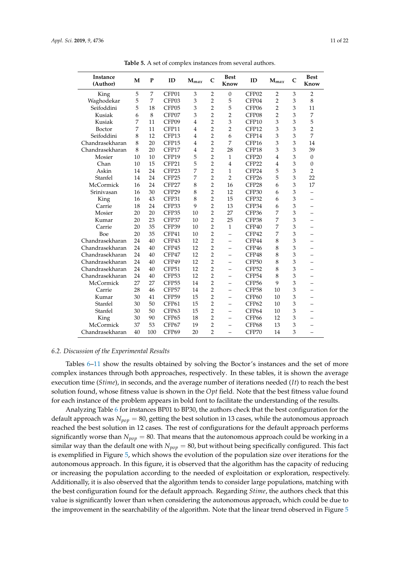<span id="page-10-0"></span>

| Instance<br>(Author) | M  | $\mathbf P$ | ID                | $M_{\text{max}}$ | $\mathbf C$    | <b>Best</b><br>Know      | ID                | $M_{max}$      | $\overline{C}$ | <b>Best</b><br>Know      |
|----------------------|----|-------------|-------------------|------------------|----------------|--------------------------|-------------------|----------------|----------------|--------------------------|
| King                 | 5  | 7           | CFP01             | 3                | $\overline{2}$ | $\overline{0}$           | CFP <sub>02</sub> | $\overline{2}$ | 3              | $\overline{2}$           |
| Waghodekar           | 5  | 7           | CFP03             | 3                | $\overline{2}$ | 5                        | CFP04             | $\overline{2}$ | 3              | 8                        |
| Seifoddini           | 5  | 18          | CFP05             | 3                | $\overline{2}$ | 5                        | CFP06             | $\overline{2}$ | 3              | 11                       |
| Kusiak               | 6  | 8           | CFP07             | 3                | $\overline{2}$ | $\overline{2}$           | CFP08             | $\overline{2}$ | 3              | 7                        |
| Kusiak               | 7  | 11          | CFP09             | $\overline{4}$   | $\overline{2}$ | 3                        | CFP10             | 3              | 3              | 5                        |
| Boctor               | 7  | 11          | CFP11             | $\overline{4}$   | $\overline{2}$ | $\overline{2}$           | CFP12             | 3              | 3              | $\overline{2}$           |
| Seifoddini           | 8  | 12          | CFP13             | $\overline{4}$   | $\overline{2}$ | 6                        | CFP14             | 3              | 3              | 7                        |
| Chandrasekharan      | 8  | 20          | CFP15             | $\overline{4}$   | $\overline{2}$ | 7                        | CFP16             | 3              | 3              | 14                       |
| Chandrasekharan      | 8  | 20          | CFP17             | 4                | $\overline{2}$ | 28                       | CFP18             | 3              | 3              | 39                       |
| Mosier               | 10 | 10          | CFP19             | 5                | $\overline{2}$ | $\mathbf{1}$             | CFP <sub>20</sub> | $\overline{4}$ | 3              | $\overline{0}$           |
| Chan                 | 10 | 15          | CFP21             | 5                | $\overline{2}$ | $\overline{4}$           | CFP <sub>22</sub> | $\overline{4}$ | 3              | $\boldsymbol{0}$         |
| Askin                | 14 | 24          | CFP <sub>23</sub> | 7                | $\overline{2}$ | 1                        | CFP24             | 5              | 3              | $\overline{2}$           |
| Stanfel              | 14 | 24          | CFP25             | 7                | $\overline{2}$ | $\overline{2}$           | CFP <sub>26</sub> | 5              | 3              | 22                       |
| <b>McCormick</b>     | 16 | 24          | CFP27             | 8                | $\overline{2}$ | 16                       | CFP28             | 6              | 3              | 17                       |
| Srinivasan           | 16 | 30          | CFP29             | 8                | $\overline{2}$ | 12                       | CFP30             | 6              | 3              |                          |
| King                 | 16 | 43          | CFP31             | 8                | $\overline{2}$ | 15                       | CFP32             | 6              | 3              |                          |
| Carrie               | 18 | 24          | CFP33             | 9                | $\overline{2}$ | 13                       | CFP34             | 6              | 3              |                          |
| Mosier               | 20 | 20          | CFP35             | 10               | $\overline{2}$ | 27                       | CFP36             | 7              | 3              |                          |
| Kumar                | 20 | 23          | CFP37             | 10               | $\overline{2}$ | 25                       | CFP38             | 7              | 3              |                          |
| Carrie               | 20 | 35          | CFP39             | 10               | $\overline{2}$ | $\mathbf{1}$             | CFP40             | 7              | 3              |                          |
| Boe                  | 20 | 35          | CFP41             | 10               | $\overline{2}$ |                          | CFP42             | 7              | 3              |                          |
| Chandrasekharan      | 24 | 40          | CFP43             | 12               | $\overline{2}$ |                          | CFP44             | 8              | 3              |                          |
| Chandrasekharan      | 24 | 40          | CFP45             | 12               | $\overline{2}$ |                          | CFP46             | 8              | 3              |                          |
| Chandrasekharan      | 24 | 40          | CFP47             | 12               | $\overline{2}$ | $\overline{\phantom{0}}$ | CFP48             | 8              | 3              |                          |
| Chandrasekharan      | 24 | 40          | CFP49             | 12               | $\overline{2}$ |                          | CFP50             | 8              | 3              |                          |
| Chandrasekharan      | 24 | 40          | CFP51             | 12               | $\overline{2}$ |                          | CFP52             | 8              | 3              |                          |
| Chandrasekharan      | 24 | 40          | CFP <sub>53</sub> | 12               | $\overline{2}$ |                          | CFP54             | 8              | 3              |                          |
| McCormick            | 27 | 27          | CFP55             | 14               | $\overline{2}$ | $\overline{\phantom{0}}$ | CFP <sub>56</sub> | 9              | 3              |                          |
| Carrie               | 28 | 46          | CFP57             | 14               | $\overline{2}$ | $\overline{\phantom{0}}$ | CFP58             | 10             | 3              | $\overline{\phantom{0}}$ |
| Kumar                | 30 | 41          | CFP59             | 15               | $\overline{2}$ |                          | CFP60             | 10             | 3              |                          |
| Stanfel              | 30 | 50          | CFP61             | 15               | $\overline{2}$ | $\overline{\phantom{0}}$ | CFP62             | 10             | 3              |                          |
| Stanfel              | 30 | 50          | CFP63             | 15               | $\overline{2}$ | $\overline{\phantom{0}}$ | CFP64             | 10             | 3              |                          |
| King                 | 30 | 90          | CFP <sub>65</sub> | 18               | $\overline{2}$ | $\overline{\phantom{0}}$ | CFP <sub>66</sub> | 12             | 3              |                          |
| McCormick            | 37 | 53          | CFP67             | 19               | $\overline{2}$ |                          | CFP68             | 13             | 3              |                          |

**Table 5.** A set of complex instances from several authors.

## *6.2. Discussion of the Experimental Results*

Tables [6–](#page-12-0)[11](#page-17-0) show the results obtained by solving the Boctor's instances and the set of more complex instances through both approaches, respectively. In these tables, it is shown the average execution time (*Stime*), in seconds, and the average number of iterations needed (*It*) to reach the best solution found, whose fitness value is shown in the *Opt* field. Note that the best fitness value found for each instance of the problem appears in bold font to facilitate the understanding of the results.

Chandrasekharan 40 100 CFP69 20 2 – CFP70 14 3 –

Analyzing Table [6](#page-12-0) for instances BP01 to BP30, the authors check that the best configuration for the default approach was *Npop* = 80, getting the best solution in 13 cases, while the autonomous approach reached the best solution in 12 cases. The rest of configurations for the default approach performs significantly worse than  $N_{pop} = 80$ . That means that the autonomous approach could be working in a similar way than the default one with  $N_{pop} = 80$ , but without being specifically configured. This fact is exemplified in Figure [5,](#page-11-0) which shows the evolution of the population size over iterations for the autonomous approach. In this figure, it is observed that the algorithm has the capacity of reducing or increasing the population according to the needed of exploitation or exploration, respectively. Additionally, it is also observed that the algorithm tends to consider large populations, matching with the best configuration found for the default approach. Regarding *Stime*, the authors check that this value is significantly lower than when considering the autonomous approach, which could be due to the improvement in the searchability of the algorithm. Note that the linear trend observed in Figure [5](#page-11-0)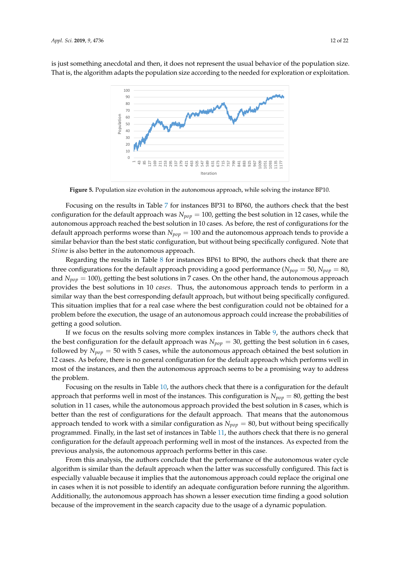<span id="page-11-0"></span>is just something anecdotal and then, it does not represent the usual behavior of the population size. That is, the algorithm adapts the population size according to the needed for exploration or exploitation.



**Figure 5.** Population size evolution in the autonomous approach, while solving the instance BP10.

Focusing on the results in Table [7](#page-13-0) for instances BP31 to BP60, the authors check that the best configuration for the default approach was *Npop* = 100, getting the best solution in 12 cases, while the autonomous approach reached the best solution in 10 cases. As before, the rest of configurations for the default approach performs worse than *Npop* = 100 and the autonomous approach tends to provide a similar behavior than the best static configuration, but without being specifically configured. Note that *Stime* is also better in the autonomous approach.

Regarding the results in Table [8](#page-14-0) for instances BP61 to BP90, the authors check that there are three configurations for the default approach providing a good performance ( $N_{pop} = 50$ ,  $N_{pop} = 80$ , and  $N_{p_{0}p} = 100$ , getting the best solutions in 7 cases. On the other hand, the autonomous approach provides the best solutions in 10 *cases*. Thus, the autonomous approach tends to perform in a similar way than the best corresponding default approach, but without being specifically configured. This situation implies that for a real case where the best configuration could not be obtained for a problem before the execution, the usage of an autonomous approach could increase the probabilities of getting a good solution.

If we focus on the results solving more complex instances in Table [9,](#page-15-0) the authors check that the best configuration for the default approach was  $N_{pop} = 30$ , getting the best solution in 6 cases, followed by *Npop* = 50 with 5 cases, while the autonomous approach obtained the best solution in 12 cases. As before, there is no general configuration for the default approach which performs well in most of the instances, and then the autonomous approach seems to be a promising way to address the problem.

Focusing on the results in Table [10,](#page-16-0) the authors check that there is a configuration for the default approach that performs well in most of the instances. This configuration is *Npop* = 80, getting the best solution in 11 cases, while the autonomous approach provided the best solution in 8 cases, which is better than the rest of configurations for the default approach. That means that the autonomous approach tended to work with a similar configuration as  $N_{pop} = 80$ , but without being specifically programmed. Finally, in the last set of instances in Table [11,](#page-17-0) the authors check that there is no general configuration for the default approach performing well in most of the instances. As expected from the previous analysis, the autonomous approach performs better in this case.

From this analysis, the authors conclude that the performance of the autonomous water cycle algorithm is similar than the default approach when the latter was successfully configured. This fact is especially valuable because it implies that the autonomous approach could replace the original one in cases when it is not possible to identify an adequate configuration before running the algorithm. Additionally, the autonomous approach has shown a lesser execution time finding a good solution because of the improvement in the search capacity due to the usage of a dynamic population.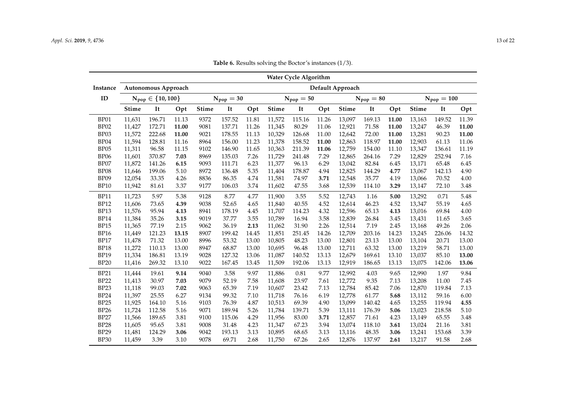<span id="page-12-0"></span>

|             | Water Cycle Algorithm<br>Autonomous Approach<br>Default Approach |                           |       |              |                |       |              |                |       |              |                |       |              |                 |       |
|-------------|------------------------------------------------------------------|---------------------------|-------|--------------|----------------|-------|--------------|----------------|-------|--------------|----------------|-------|--------------|-----------------|-------|
| Instance    |                                                                  |                           |       |              |                |       |              |                |       |              |                |       |              |                 |       |
| ID          |                                                                  | $N_{pop} \in \{10, 100\}$ |       |              | $N_{pop} = 30$ |       |              | $N_{pop} = 50$ |       |              | $N_{pop} = 80$ |       |              | $N_{pop} = 100$ |       |
|             | <b>Stime</b>                                                     | It                        | Opt   | <b>Stime</b> | It             | Opt   | <b>Stime</b> | It             | Opt   | <b>Stime</b> | It             | Opt   | <b>Stime</b> | It              | Opt   |
| BP01        | 11,631                                                           | 196.71                    | 11.13 | 9372         | 157.52         | 11.81 | 11,572       | 115.16         | 11.26 | 13,097       | 169.13         | 11.00 | 13,163       | 149.52          | 11.39 |
| BP02        | 11,427                                                           | 172.71                    | 11.00 | 9081         | 137.71         | 11.26 | 11,345       | 80.29          | 11.06 | 12,921       | 71.58          | 11.00 | 13,247       | 46.39           | 11.00 |
| BP03        | 11,572                                                           | 222.68                    | 11.00 | 9021         | 178.55         | 11.13 | 10,329       | 126.68         | 11.00 | 12,642       | 72.00          | 11.00 | 13,281       | 90.23           | 11.00 |
| BP04        | 11,594                                                           | 128.81                    | 11.16 | 8964         | 156.00         | 11.23 | 11,378       | 158.52         | 11.00 | 12,863       | 118.97         | 11.00 | 12,903       | 61.13           | 11.06 |
| BP05        | 11,311                                                           | 96.58                     | 11.15 | 9102         | 146.90         | 11.65 | 10,363       | 211.39         | 11.06 | 12,759       | 154.00         | 11.10 | 13,347       | 136.61          | 11.19 |
| <b>BP06</b> | 11,601                                                           | 370.87                    | 7.03  | 8969         | 135.03         | 7.26  | 11,729       | 241.48         | 7.29  | 12,865       | 264.16         | 7.29  | 12,829       | 252.94          | 7.16  |
| BP07        | 11,872                                                           | 141.26                    | 6.15  | 9093         | 111.71         | 6.23  | 11,377       | 96.13          | 6.29  | 13,042       | 82.84          | 6.45  | 13,171       | 65.48           | 6.45  |
| BP08        | 11,646                                                           | 199.06                    | 5.10  | 8972         | 136.48         | 5.35  | 11,404       | 178.87         | 4.94  | 12,825       | 144.29         | 4.77  | 13,067       | 142.13          | 4.90  |
| BP09        | 12,054                                                           | 33.35                     | 4.26  | 8836         | 86.35          | 4.74  | 11,581       | 74.97          | 3.71  | 12,548       | 35.77          | 4.19  | 13,066       | 70.52           | 4.00  |
| <b>BP10</b> | 11,942                                                           | 81.61                     | 3.37  | 9177         | 106.03         | 3.74  | 11,602       | 47.55          | 3.68  | 12,539       | 114.10         | 3.29  | 13,147       | 72.10           | 3.48  |
| <b>BP11</b> | 11,723                                                           | 5.97                      | 5.38  | 9128         | 8.77           | 4.77  | 11,900       | 3.55           | 5.52  | 12,743       | 1.16           | 5.00  | 13,292       | 0.71            | 5.48  |
| <b>BP12</b> | 11,606                                                           | 73.65                     | 4.39  | 9038         | 52.65          | 4.65  | 11,840       | 40.55          | 4.52  | 12,614       | 46.23          | 4.52  | 13,347       | 55.19           | 4.65  |
| <b>BP13</b> | 11,576                                                           | 95.94                     | 4.13  | 8941         | 178.19         | 4.45  | 11,707       | 114.23         | 4.32  | 12,596       | 65.13          | 4.13  | 13,016       | 69.84           | 4.00  |
| BP14        | 11,384                                                           | 35.26                     | 3.15  | 9019         | 37.77          | 3.55  | 10,789       | 16.94          | 3.58  | 12,839       | 26.84          | 3.45  | 13,431       | 11.65           | 3.65  |
| <b>BP15</b> | 11,365                                                           | 77.19                     | 2.15  | 9062         | 36.19          | 2.13  | 11,062       | 31.90          | 2.26  | 12,514       | 7.19           | 2.45  | 13,168       | 49.26           | 2.06  |
| <b>BP16</b> | 11,449                                                           | 121.23                    | 13.15 | 8907         | 199.42         | 14.45 | 11,851       | 251.45         | 14.26 | 12,709       | 203.16         | 14.23 | 13,245       | 226.06          | 14.32 |
| BP17        | 11,478                                                           | 71.32                     | 13.00 | 8996         | 53.32          | 13.00 | 10,805       | 48.23          | 13.00 | 12,801       | 23.13          | 13.00 | 13,104       | 20.71           | 13.00 |
| <b>BP18</b> | 11,272                                                           | 110.13                    | 13.00 | 8947         | 68.87          | 13.00 | 10,695       | 96.48          | 13.00 | 12,711       | 63.32          | 13.00 | 13,219       | 58.71           | 13.00 |
| <b>BP19</b> | 11,334                                                           | 186.81                    | 13.19 | 9028         | 127.32         | 13.06 | 11,087       | 140.52         | 13.13 | 12,679       | 169.61         | 13.10 | 13,037       | 85.10           | 13.00 |
| <b>BP20</b> | 11,416                                                           | 269.32                    | 13.10 | 9022         | 167.45         | 13.45 | 11,509       | 192.06         | 13.13 | 12,919       | 186.65         | 13.13 | 13,075       | 142.06          | 13.06 |
| <b>BP21</b> | 11,444                                                           | 19.61                     | 9.14  | 9040         | 3.58           | 9.97  | 11,886       | 0.81           | 9.77  | 12,992       | 4.03           | 9.65  | 12,990       | 1.97            | 9.84  |
| <b>BP22</b> | 11,413                                                           | 30.97                     | 7.03  | 9079         | 52.19          | 7.58  | 11,608       | 23.97          | 7.61  | 12,772       | 9.35           | 7.13  | 13,208       | 11.00           | 7.45  |
| <b>BP23</b> | 11,118                                                           | 99.03                     | 7.02  | 9063         | 65.39          | 7.19  | 10,607       | 23.42          | 7.13  | 12,784       | 85.42          | 7.06  | 12,870       | 119.84          | 7.13  |
| <b>BP24</b> | 11,397                                                           | 25.55                     | 6.27  | 9134         | 99.32          | 7.10  | 11,718       | 76.16          | 6.19  | 12,778       | 61.77          | 5.68  | 13,112       | 59.16           | 6.00  |
| <b>BP25</b> | 11,925                                                           | 164.10                    | 5.16  | 9103         | 76.39          | 4.87  | 10,513       | 69.39          | 4.90  | 13,099       | 140.42         | 4.65  | 13,255       | 119.94          | 4.55  |
| <b>BP26</b> | 11,724                                                           | 112.58                    | 5.16  | 9071         | 189.94         | 5.26  | 11,784       | 139.71         | 5.39  | 13,111       | 176.39         | 5.06  | 13,023       | 218.58          | 5.10  |
| <b>BP27</b> | 11,566                                                           | 189.65                    | 3.81  | 9100         | 115.06         | 4.29  | 11,956       | 83.00          | 3.71  | 12,857       | 71.61          | 4.23  | 13,149       | 65.55           | 3.48  |
| <b>BP28</b> | 11,605                                                           | 95.65                     | 3.81  | 9008         | 31.48          | 4.23  | 11,347       | 67.23          | 3.94  | 13,074       | 118.10         | 3.61  | 13,024       | 21.16           | 3.81  |
| <b>BP29</b> | 11,481                                                           | 124.29                    | 3.06  | 9042         | 193.13         | 3.13  | 10,895       | 68.65          | 3.13  | 13,116       | 48.35          | 3.06  | 13,241       | 153.68          | 3.39  |
| <b>BP30</b> | 11,459                                                           | 3.39                      | 3.10  | 9078         | 69.71          | 2.68  | 11,750       | 67.26          | 2.65  | 12,876       | 137.97         | 2.61  | 13,217       | 91.58           | 2.68  |

**Table 6.** Results solving the Boctor's instances (1/3).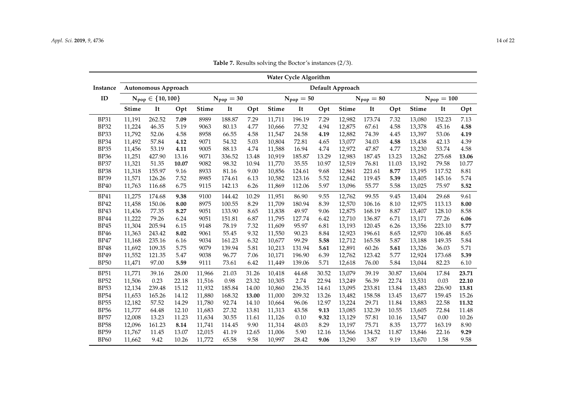<span id="page-13-0"></span>

|             | <b>Water Cycle Algorithm</b><br>Autonomous Approach<br>Default Approach |                           |       |              |                |       |              |                |       |              |                |       |              |                 |       |
|-------------|-------------------------------------------------------------------------|---------------------------|-------|--------------|----------------|-------|--------------|----------------|-------|--------------|----------------|-------|--------------|-----------------|-------|
| Instance    |                                                                         |                           |       |              |                |       |              |                |       |              |                |       |              |                 |       |
| ID          |                                                                         | $N_{pop} \in \{10, 100\}$ |       |              | $N_{pop} = 30$ |       |              | $N_{pop} = 50$ |       |              | $N_{pop} = 80$ |       |              | $N_{pop} = 100$ |       |
|             | <b>Stime</b>                                                            | It                        | Opt   | <b>Stime</b> | It             | Opt   | <b>Stime</b> | It             | Opt   | <b>Stime</b> | It             | Opt   | <b>Stime</b> | It              | Opt   |
| <b>BP31</b> | 11,191                                                                  | 262.52                    | 7.09  | 8989         | 188.87         | 7.29  | 11,711       | 196.19         | 7.29  | 12,982       | 173.74         | 7.32  | 13,080       | 152.23          | 7.13  |
| <b>BP32</b> | 11,224                                                                  | 46.35                     | 5.19  | 9063         | 80.13          | 4.77  | 10,666       | 77.32          | 4.94  | 12,875       | 67.61          | 4.58  | 13,378       | 45.16           | 4.58  |
| <b>BP33</b> | 11,792                                                                  | 52.06                     | 4.58  | 8958         | 66.55          | 4.58  | 11,547       | 24.58          | 4.19  | 12,882       | 74.39          | 4.45  | 13,397       | 53.06           | 4.19  |
| BP34        | 11,492                                                                  | 57.84                     | 4.12  | 9071         | 54.32          | 5.03  | 10,804       | 72.81          | 4.65  | 13,077       | 34.03          | 4.58  | 13,438       | 42.13           | 4.39  |
| <b>BP35</b> | 11,456                                                                  | 53.19                     | 4.11  | 9005         | 88.13          | 4.74  | 11,588       | 16.94          | 4.74  | 12,972       | 47.87          | 4.77  | 13,230       | 53.74           | 4.58  |
| <b>BP36</b> | 11,251                                                                  | 427.90                    | 13.16 | 9071         | 336.52         | 13.48 | 10,919       | 185.87         | 13.29 | 12,983       | 187.45         | 13.23 | 13,262       | 275.68          | 13.06 |
| BP37        | 11,321                                                                  | 51.35                     | 10.07 | 9082         | 98.32          | 10.94 | 11,770       | 35.55          | 10.97 | 12,519       | 76.81          | 11.03 | 13,192       | 79.58           | 10.77 |
| <b>BP38</b> | 11,318                                                                  | 155.97                    | 9.16  | 8933         | 81.16          | 9.00  | 10,856       | 124.61         | 9.68  | 12,861       | 221.61         | 8.77  | 13,195       | 117.52          | 8.81  |
| <b>BP39</b> | 11,571                                                                  | 126.26                    | 7.52  | 8985         | 174.61         | 6.13  | 10,582       | 123.16         | 5.52  | 12,842       | 119.45         | 5.39  | 13,405       | 145.16          | 5.74  |
| <b>BP40</b> | 11,763                                                                  | 116.68                    | 6.75  | 9115         | 142.13         | 6.26  | 11,869       | 112.06         | 5.97  | 13,096       | 55.77          | 5.58  | 13,025       | 75.97           | 5.52  |
| <b>BP41</b> | 11,275                                                                  | 174.68                    | 9.38  | 9100         | 144.42         | 10.29 | 11,951       | 86.90          | 9.55  | 12,762       | 99.55          | 9.45  | 13,404       | 29.68           | 9.61  |
| <b>BP42</b> | 11,458                                                                  | 150.06                    | 8.00  | 8975         | 100.55         | 8.29  | 11,709       | 180.94         | 8.39  | 12,570       | 106.16         | 8.10  | 12,975       | 113.13          | 8.00  |
| <b>BP43</b> | 11,436                                                                  | 77.35                     | 8.27  | 9051         | 133.90         | 8.65  | 11,838       | 49.97          | 9.06  | 12,875       | 168.19         | 8.87  | 13,407       | 128.10          | 8.58  |
| <b>BP44</b> | 11,222                                                                  | 79.26                     | 6.24  | 9051         | 151.81         | 6.87  | 11,795       | 127.74         | 6.42  | 12,710       | 136.87         | 6.71  | 13,171       | 77.26           | 6.06  |
| <b>BP45</b> | 11,304                                                                  | 205.94                    | 6.15  | 9148         | 78.19          | 7.32  | 11,609       | 95.97          | 6.81  | 13,193       | 120.45         | 6.26  | 13,356       | 223.10          | 5.77  |
| <b>BP46</b> | 11,363                                                                  | 243.42                    | 8.02  | 9061         | 55.45          | 9.32  | 11,550       | 90.23          | 8.84  | 12,923       | 196.61         | 8.65  | 12,970       | 106.48          | 8.65  |
| BP47        | 11,168                                                                  | 235.16                    | 6.16  | 9034         | 161.23         | 6.32  | 10,677       | 99.29          | 5.58  | 12,712       | 165.58         | 5.87  | 13,188       | 149.35          | 5.84  |
| <b>BP48</b> | 11,692                                                                  | 109.35                    | 5.75  | 9079         | 139.94         | 5.81  | 10,213       | 131.94         | 5.61  | 12,891       | 60.26          | 5.61  | 13,326       | 36.03           | 5.71  |
| <b>BP49</b> | 11,552                                                                  | 121.35                    | 5.47  | 9038         | 96.77          | 7.06  | 10,171       | 196.90         | 6.39  | 12,762       | 123.42         | 5.77  | 12,924       | 173.68          | 5.39  |
| <b>BP50</b> | 11,471                                                                  | 97.00                     | 5.59  | 9111         | 73.61          | 6.42  | 11,449       | 139.06         | 5.71  | 12,618       | 76.00          | 5.84  | 13,044       | 82.23           | 6.10  |
| <b>BP51</b> | 11,771                                                                  | 39.16                     | 28.00 | 11,966       | 21.03          | 31.26 | 10,418       | 44.68          | 30.52 | 13,079       | 39.19          | 30.87 | 13,604       | 17.84           | 23.71 |
| <b>BP52</b> | 11,506                                                                  | 0.23                      | 22.18 | 11,516       | 0.98           | 23.32 | 10,305       | 2.74           | 22.94 | 13,249       | 56.39          | 22.74 | 13,531       | 0.03            | 22.10 |
| <b>BP53</b> | 12,134                                                                  | 239.48                    | 15.12 | 11,932       | 185.84         | 14.00 | 10,860       | 236.35         | 14.61 | 13,095       | 233.81         | 13.84 | 13,483       | 226.90          | 13.81 |
| <b>BP54</b> | 11,653                                                                  | 165.26                    | 14.12 | 11,880       | 168.32         | 13.00 | 11,000       | 209.32         | 13.26 | 13,482       | 158.58         | 13.45 | 13,677       | 159.45          | 15.26 |
| <b>BP55</b> | 12,182                                                                  | 57.52                     | 14.29 | 11,780       | 92.74          | 14.10 | 10,664       | 96.06          | 12.97 | 13,224       | 29.71          | 11.84 | 13,883       | 22.58           | 11.32 |
| <b>BP56</b> | 11,777                                                                  | 64.48                     | 12.10 | 11,683       | 27.32          | 13.81 | 11,313       | 43.58          | 9.13  | 13,085       | 132.39         | 10.55 | 13,605       | 72.84           | 11.48 |
| <b>BP57</b> | 12,008                                                                  | 13.23                     | 11.23 | 11,634       | 30.55          | 11.61 | 11,126       | 0.10           | 9.32  | 13,129       | 57.81          | 10.16 | 13,547       | 0.00            | 10.26 |
| <b>BP58</b> | 12,096                                                                  | 161.23                    | 8.14  | 11,741       | 114.45         | 9.90  | 11,314       | 48.03          | 8.29  | 13,197       | 75.71          | 8.35  | 13,777       | 163.19          | 8.90  |
| <b>BP59</b> | 11,767                                                                  | 11.45                     | 13.07 | 12,015       | 41.19          | 12.65 | 11,006       | 5.90           | 12.16 | 13,566       | 134.52         | 11.87 | 13,846       | 22.16           | 9.29  |
| <b>BP60</b> | 11,662                                                                  | 9.42                      | 10.26 | 11,772       | 65.58          | 9.58  | 10,997       | 28.42          | 9.06  | 13,290       | 3.87           | 9.19  | 13,670       | 1.58            | 9.58  |

**Table 7.** Results solving the Boctor's instances (2/3).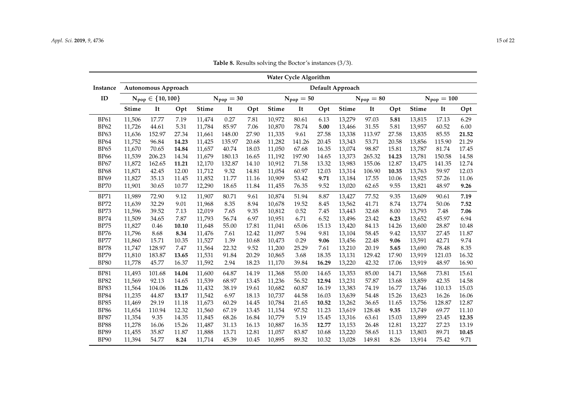<span id="page-14-0"></span>

|             | <b>Water Cycle Algorithm</b><br>Autonomous Approach<br>Default Approach |                                  |       |              |                |       |              |                |       |              |                |       |        |                 |       |
|-------------|-------------------------------------------------------------------------|----------------------------------|-------|--------------|----------------|-------|--------------|----------------|-------|--------------|----------------|-------|--------|-----------------|-------|
| Instance    |                                                                         |                                  |       |              |                |       |              |                |       |              |                |       |        |                 |       |
| ID          |                                                                         | $N_{\text{pop}} \in \{10, 100\}$ |       |              | $N_{pop} = 30$ |       |              | $N_{pop} = 50$ |       |              | $N_{pop} = 80$ |       |        | $N_{pop} = 100$ |       |
|             | <b>Stime</b>                                                            | It                               | Opt   | <b>Stime</b> | It             | Opt   | <b>Stime</b> | It             | Opt   | <b>Stime</b> | It             | Opt   | Stime  | It              | Opt   |
| <b>BP61</b> | 11,506                                                                  | 17.77                            | 7.19  | 11,474       | 0.27           | 7.81  | 10,972       | 80.61          | 6.13  | 13,279       | 97.03          | 5.81  | 13,815 | 17.13           | 6.29  |
| <b>BP62</b> | 11,726                                                                  | 44.61                            | 5.31  | 11,784       | 85.97          | 7.06  | 10,870       | 78.74          | 5.00  | 13,466       | 31.55          | 5.81  | 13,957 | 60.52           | 6.00  |
| BP63        | 11,636                                                                  | 152.97                           | 27.34 | 11,661       | 148.00         | 27.90 | 11,335       | 9.61           | 27.58 | 13,338       | 113.97         | 27.58 | 13,835 | 85.55           | 21.52 |
| <b>BP64</b> | 11,752                                                                  | 96.84                            | 14.23 | 11,425       | 135.97         | 20.68 | 11,282       | 141.26         | 20.45 | 13,343       | 53.71          | 20.58 | 13,856 | 115.90          | 21.29 |
| <b>BP65</b> | 11.670                                                                  | 70.65                            | 14.84 | 11,657       | 40.74          | 18.03 | 11.050       | 67.68          | 16.35 | 13,074       | 98.87          | 15.81 | 13,787 | 81.74           | 17.45 |
| <b>BP66</b> | 11,539                                                                  | 206.23                           | 14.34 | 11,679       | 180.13         | 16.65 | 11.192       | 197.90         | 14.65 | 13,373       | 265.32         | 14.23 | 13,781 | 150.58          | 14.58 |
| BP67        | 11,872                                                                  | 162.65                           | 11.21 | 12,170       | 132.87         | 14.10 | 10,912       | 71.58          | 13.32 | 13,983       | 155.06         | 12.87 | 13,475 | 141.35          | 12.74 |
| <b>BP68</b> | 11,871                                                                  | 42.45                            | 12.00 | 11,712       | 9.32           | 14.81 | 11,054       | 60.97          | 12.03 | 13,314       | 106.90         | 10.35 | 13,763 | 59.97           | 12.03 |
| <b>BP69</b> | 11,827                                                                  | 35.13                            | 11.45 | 11,852       | 11.77          | 11.16 | 10,909       | 53.42          | 9.71  | 13,184       | 17.55          | 10.06 | 13,925 | 57.26           | 11.06 |
| <b>BP70</b> | 11,901                                                                  | 30.65                            | 10.77 | 12,290       | 18.65          | 11.84 | 11,455       | 76.35          | 9.52  | 13,020       | 62.65          | 9.55  | 13,821 | 48.97           | 9.26  |
| <b>BP71</b> | 11,989                                                                  | 72.90                            | 9.12  | 11,907       | 80.71          | 9.61  | 10,874       | 51.94          | 8.87  | 13,427       | 77.52          | 9.35  | 13,609 | 90.61           | 7.19  |
| <b>BP72</b> | 11,639                                                                  | 32.29                            | 9.01  | 11,968       | 8.35           | 8.94  | 10,678       | 19.52          | 8.45  | 13,562       | 41.71          | 8.74  | 13,774 | 50.06           | 7.52  |
| <b>BP73</b> | 11,596                                                                  | 39.52                            | 7.13  | 12,019       | 7.65           | 9.35  | 10,812       | 0.52           | 7.45  | 13,443       | 32.68          | 8.00  | 13,793 | 7.48            | 7.06  |
| <b>BP74</b> | 11,509                                                                  | 34.65                            | 7.87  | 11,793       | 56.74          | 6.97  | 10,951       | 6.71           | 6.52  | 13,496       | 23.42          | 6.23  | 13,652 | 45.97           | 6.94  |
| <b>BP75</b> | 11,827                                                                  | 0.46                             | 10.10 | 11,648       | 55.00          | 17.81 | 11,041       | 65.06          | 15.13 | 13,420       | 84.13          | 14.26 | 13,600 | 28.87           | 10.48 |
| <b>BP76</b> | 11,796                                                                  | 8.68                             | 8.34  | 11,476       | 7.61           | 12.42 | 11,097       | 5.94           | 9.81  | 13,104       | 58.45          | 9.42  | 13,537 | 27.45           | 11.87 |
| <b>BP77</b> | 11,860                                                                  | 15.71                            | 10.35 | 11,527       | 1.39           | 10.68 | 10,473       | 0.29           | 9.06  | 13,456       | 22.48          | 9.06  | 13,591 | 42.71           | 9.74  |
| <b>BP78</b> | 11,747                                                                  | 128.97                           | 7.47  | 11,564       | 22.32          | 9.52  | 11,200       | 25.29          | 7.61  | 13,210       | 20.19          | 5.65  | 13,690 | 78.48           | 8.35  |
| <b>BP79</b> | 11,810                                                                  | 183.87                           | 13.65 | 11,531       | 91.84          | 20.29 | 10,865       | 3.68           | 18.35 | 13,131       | 129.42         | 17.90 | 13,919 | 121.03          | 16.32 |
| <b>BP80</b> | 11,778                                                                  | 45.77                            | 16.37 | 11,592       | 2.94           | 18.23 | 11,170       | 39.84          | 16.29 | 13,220       | 42.32          | 17.06 | 13,919 | 48.97           | 16.90 |
| <b>BP81</b> | 11,493                                                                  | 101.68                           | 14.04 | 11,600       | 64.87          | 14.19 | 11,368       | 55.00          | 14.65 | 13,353       | 85.00          | 14.71 | 13,568 | 73.81           | 15.61 |
| <b>BP82</b> | 11,569                                                                  | 92.13                            | 14.65 | 11,539       | 68.97          | 13.45 | 11,236       | 56.52          | 12.94 | 13,231       | 57.87          | 13.68 | 13,859 | 42.35           | 14.58 |
| <b>BP83</b> | 11,564                                                                  | 104.06                           | 11.26 | 11,432       | 38.19          | 19.61 | 10,682       | 60.87          | 16.19 | 13,383       | 74.19          | 16.77 | 13,746 | 110.13          | 15.03 |
| <b>BP84</b> | 11,235                                                                  | 44.87                            | 13.17 | 11,542       | 6.97           | 18.13 | 10,737       | 44.58          | 16.03 | 13,639       | 54.48          | 15.26 | 13,623 | 16.26           | 16.06 |
| <b>BP85</b> | 11,469                                                                  | 29.19                            | 11.18 | 11,673       | 60.29          | 14.45 | 10,784       | 21.65          | 10.52 | 13,262       | 36.65          | 11.65 | 13,756 | 128.87          | 12.87 |
| <b>BP86</b> | 11,654                                                                  | 110.94                           | 12.32 | 11,560       | 67.19          | 13.45 | 11,154       | 97.52          | 11.23 | 13,619       | 128.48         | 9.35  | 13,749 | 69.77           | 11.10 |
| <b>BP87</b> | 11,354                                                                  | 9.35                             | 14.35 | 11,845       | 68.26          | 16.84 | 10,779       | 5.19           | 15.45 | 13,316       | 63.61          | 15.03 | 13,899 | 23.45           | 12.35 |
| <b>BP88</b> | 11,278                                                                  | 16.06                            | 15.26 | 11,487       | 31.13          | 16.13 | 10,887       | 16.35          | 12.77 | 13,153       | 26.48          | 12.81 | 13,227 | 27.23           | 13.19 |
| <b>BP89</b> | 11,455                                                                  | 35.87                            | 11.87 | 11,888       | 13.71          | 12.81 | 11,057       | 83.87          | 10.68 | 13,220       | 58.65          | 11.13 | 13,803 | 89.71           | 10.45 |
| <b>BP90</b> | 11,394                                                                  | 54.77                            | 8.24  | 11,714       | 45.39          | 10.45 | 10,895       | 89.32          | 10.32 | 13,028       | 149.81         | 8.26  | 13,914 | 75.42           | 9.71  |

**Table 8.** Results solving the Boctor's instances (3/3).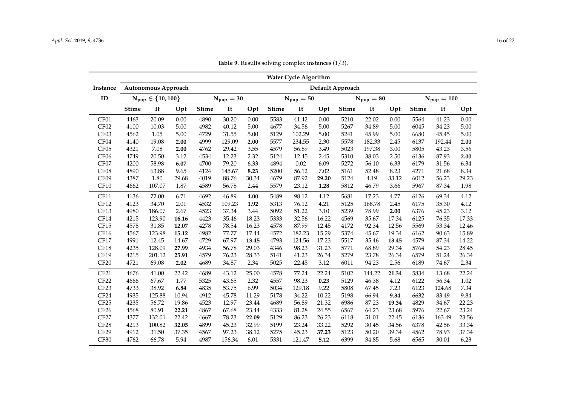<span id="page-15-0"></span>

|                  |              |                           |       |              |                |       |              | <b>Water Cycle Algorithm</b> |       |                  |                |       |              |                 |       |
|------------------|--------------|---------------------------|-------|--------------|----------------|-------|--------------|------------------------------|-------|------------------|----------------|-------|--------------|-----------------|-------|
| Instance         |              | Autonomous Approach       |       |              |                |       |              |                              |       | Default Approach |                |       |              |                 |       |
| ID               |              | $N_{pop} \in \{10, 100\}$ |       |              | $N_{pop} = 30$ |       |              | $N_{pop} = 50$               |       |                  | $N_{pop} = 80$ |       |              | $N_{pop} = 100$ |       |
|                  | <b>Stime</b> | It                        | Opt   | <b>Stime</b> | It             | Opt   | <b>Stime</b> | It                           | Opt   | <b>Stime</b>     | It             | Opt   | <b>Stime</b> | It              | Opt   |
| CF01             | 4463         | 20.09                     | 0.00  | 4890         | 30.20          | 0.00  | 5583         | 41.42                        | 0.00  | 5210             | 22.02          | 0.00  | 5564         | 41.23           | 0.00  |
| CF <sub>02</sub> | 4100         | 10.03                     | 5.00  | 4982         | 40.12          | 5.00  | 4677         | 34.56                        | 5.00  | 5267             | 34.89          | 5.00  | 6045         | 34.23           | 5.00  |
| CF03             | 4562         | 1.05                      | 5.00  | 4729         | 31.55          | 5.00  | 5129         | 102.29                       | 5.00  | 5241             | 45.99          | 5.00  | 6680         | 45.45           | 5.00  |
| CF <sub>04</sub> | 4140         | 19.08                     | 2.00  | 4999         | 129.09         | 2.00  | 5577         | 234.55                       | 2.30  | 5578             | 182.33         | 2.45  | 6137         | 192.44          | 2.00  |
| CF <sub>05</sub> | 4321         | 7.08                      | 2.00  | 4762         | 29.42          | 3.55  | 4579         | 56.89                        | 3.49  | 5023             | 197.38         | 3.00  | 5805         | 43.23           | 3.56  |
| CF <sub>06</sub> | 4749         | 20.50                     | 3.12  | 4534         | 12.23          | 2.32  | 5124         | 12.45                        | 2.45  | 5310             | 38.03          | 2.50  | 6136         | 87.93           | 2.00  |
| CF07             | 4200         | 58.98                     | 6.07  | 4700         | 79.20          | 6.33  | 4894         | 0.02                         | 6.09  | 5272             | 56.10          | 6.33  | 6179         | 31.56           | 6.34  |
| CF08             | 4890         | 63.88                     | 9.65  | 4124         | 145.67         | 8.23  | 5200         | 56.12                        | 7.02  | 5161             | 52.48          | 8.23  | 4271         | 21.68           | 8.34  |
| CF09             | 4387         | 1.80                      | 29.68 | 4019         | 88.76          | 30.34 | 4679         | 87.92                        | 29.20 | 5124             | 4.19           | 33.12 | 6012         | 56.23           | 29.23 |
| CF10             | 4662         | 107.07                    | 1.87  | 4589         | 56.78          | 2.44  | 5579         | 23.12                        | 1.28  | 5812             | 46.79          | 3.66  | 5967         | 87.34           | 1.98  |
| CF11             | 4136         | 72.00                     | 6.71  | 4692         | 46.89          | 4.00  | 5489         | 98.12                        | 4.12  | 5681             | 17.23          | 4.77  | 6126         | 69.34           | 4.12  |
| CF12             | 4123         | 34.70                     | 2.01  | 4532         | 109.23         | 1.92  | 5313         | 76.12                        | 4.21  | 5125             | 168.78         | 2.45  | 6175         | 35.30           | 4.12  |
| <b>CF13</b>      | 4980         | 186.07                    | 2.67  | 4523         | 37.34          | 3.44  | 5092         | 51.22                        | 3.10  | 5239             | 78.99          | 2.00  | 6376         | 45.23           | 3.12  |
| CF14             | 4215         | 123.90                    | 16.16 | 4423         | 35.46          | 18.23 | 5333         | 32.56                        | 16.22 | 4569             | 35.67          | 17.34 | 6125         | 76.35           | 17.33 |
| CF15             | 4578         | 31.85                     | 12.07 | 4278         | 78.54          | 16.23 | 4578         | 87.99                        | 12.45 | 4172             | 92.34          | 12.56 | 5569         | 53.34           | 12.46 |
| CF16             | 4567         | 123.98                    | 15.12 | 4982         | 77.77          | 17.44 | 4572         | 182.23                       | 15.29 | 5374             | 45.67          | 19.34 | 6162         | 90.63           | 15.89 |
| CF17             | 4991         | 12.45                     | 14.67 | 4729         | 67.97          | 13.45 | 4793         | 124.56                       | 17.23 | 5517             | 35.46          | 13.45 | 4579         | 87.34           | 14.22 |
| CF18             | 4235         | 128.09                    | 27.99 | 4934         | 56.78          | 29.03 | 4346         | 98.23                        | 31.23 | 5771             | 68.89          | 29.34 | 5764         | 54.23           | 28.45 |
| CF19             | 4215         | 201.12                    | 25.91 | 4579         | 76.23          | 28.33 | 5141         | 41.23                        | 26.34 | 5279             | 23.78          | 26.34 | 6579         | 51.24           | 26.34 |
| CF <sub>20</sub> | 4721         | 69.08                     | 2.02  | 4689         | 34.87          | 2.34  | 5025         | 22.45                        | 3.12  | 6011             | 94.23          | 2.56  | 6189         | 74.67           | 2.34  |
| CF <sub>21</sub> | 4676         | 41.00                     | 22.42 | 4689         | 43.12          | 25.00 | 4578         | 77.24                        | 22.24 | 5102             | 144.22         | 21.34 | 5834         | 13.68           | 22.24 |
| CF <sub>22</sub> | 4666         | 67.67                     | 1.77  | 5325         | 43.65          | 2.32  | 4557         | 98.23                        | 0.23  | 5129             | 46.38          | 4.12  | 6122         | 56.34           | 1.02  |
| CF <sub>23</sub> | 4733         | 38.92                     | 6.84  | 4835         | 53.75          | 6.99  | 5034         | 129.18                       | 9.22  | 5808             | 67.45          | 7.23  | 6123         | 124.68          | 7.34  |
| CF <sub>24</sub> | 4935         | 125.88                    | 10.94 | 4912         | 45.78          | 11.29 | 5178         | 34.22                        | 10.22 | 5198             | 66.94          | 9.34  | 6632         | 83.49           | 9.84  |
| CF <sub>25</sub> | 4235         | 56.72                     | 19.86 | 4523         | 12.97          | 23.44 | 4689         | 56.89                        | 21.32 | 6986             | 87.23          | 19.34 | 4829         | 34.67           | 22.23 |
| CF <sub>26</sub> | 4568         | 80.91                     | 22.21 | 4867         | 67.68          | 23.44 | 4333         | 81.28                        | 24.55 | 6567             | 64.23          | 23.68 | 5976         | 22.67           | 23.24 |
| CF <sub>27</sub> | 4377         | 132.01                    | 22.42 | 4667         | 78.23          | 22.09 | 5129         | 86.23                        | 26.23 | 6118             | 51.01          | 22.45 | 6136         | 163.49          | 23.56 |
| CF <sub>28</sub> | 4213         | 100.82                    | 32.05 | 4899         | 45.23          | 32.99 | 5199         | 23.24                        | 33.22 | 5292             | 30.45          | 34.56 | 6378         | 42.56           | 33.34 |
| CF <sub>29</sub> | 4912         | 31.50                     | 37.35 | 4567         | 97.23          | 38.12 | 5275         | 45.23                        | 37.23 | 5123             | 50.20          | 39.34 | 4562         | 78.93           | 37.34 |
| CF30             | 4762         | 66.78                     | 5.94  | 4987         | 156.34         | 6.01  | 5331         | 121.47                       | 5.12  | 6399             | 34.85          | 5.68  | 6565         | 30.01           | 6.23  |

**Table 9.** Results solving complex instances (1/3).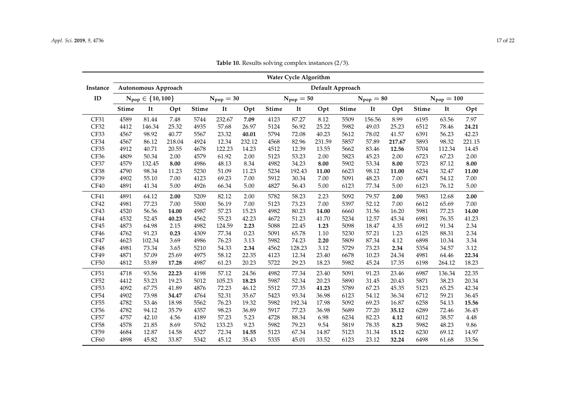<span id="page-16-0"></span>

|                  |              |                           |        |              |                |        |              | <b>Water Cycle Algorithm</b> |        |                  |                |        |              |                 |        |
|------------------|--------------|---------------------------|--------|--------------|----------------|--------|--------------|------------------------------|--------|------------------|----------------|--------|--------------|-----------------|--------|
| Instance         |              | Autonomous Approach       |        |              |                |        |              |                              |        | Default Approach |                |        |              |                 |        |
| ID               |              | $N_{pop} \in \{10, 100\}$ |        |              | $N_{pop} = 30$ |        |              | $N_{pop} = 50$               |        |                  | $N_{pop} = 80$ |        |              | $N_{pop} = 100$ |        |
|                  | <b>Stime</b> | It                        | Opt    | <b>Stime</b> | It             | Opt    | <b>Stime</b> | It                           | Opt    | <b>Stime</b>     | It             | Opt    | <b>Stime</b> | It              | Opt    |
| CF31             | 4589         | 81.44                     | 7.48   | 5744         | 232.67         | 7.09   | 4123         | 87.27                        | 8.12   | 5509             | 156.56         | 8.99   | 6195         | 63.56           | 7.97   |
| CF32             | 4412         | 146.34                    | 25.32  | 4935         | 57.68          | 26.97  | 5124         | 56.92                        | 25.22  | 5982             | 49.03          | 25.23  | 6512         | 78.46           | 24.21  |
| CF33             | 4567         | 98.92                     | 40.77  | 5567         | 23.32          | 40.01  | 5794         | 72.08                        | 40.23  | 5612             | 78.02          | 41.57  | 6391         | 56.23           | 42.23  |
| CF34             | 4567         | 86.12                     | 218.04 | 4924         | 12.34          | 232.12 | 4568         | 82.96                        | 231.59 | 5857             | 57.89          | 217.67 | 5893         | 98.32           | 221.15 |
| CF35             | 4912         | 40.71                     | 20.55  | 4678         | 122.23         | 14.23  | 4512         | 12.39                        | 13.55  | 5662             | 83.46          | 12.56  | 5704         | 112.34          | 14.45  |
| CF36             | 4809         | 50.34                     | 2.00   | 4579         | 61.92          | 2.00   | 5123         | 53.23                        | 2.00   | 5823             | 45.23          | 2.00   | 6723         | 67.23           | 2.00   |
| CF37             | 4579         | 132.45                    | 8.00   | 4986         | 48.13          | 8.34   | 4982         | 34.23                        | 8.00   | 5902             | 53.34          | 8.00   | 5723         | 87.12           | 8.00   |
| CF38             | 4790         | 98.34                     | 11.23  | 5230         | 51.09          | 11.23  | 5234         | 192.43                       | 11.00  | 6623             | 98.12          | 11.00  | 6234         | 32.47           | 11.00  |
| CF39             | 4902         | 55.10                     | 7.00   | 4123         | 69.23          | 7.00   | 5912         | 30.34                        | 7.00   | 5091             | 48.23          | 7.00   | 6871         | 54.12           | 7.00   |
| CF40             | 4891         | 41.34                     | 5.00   | 4926         | 66.34          | 5.00   | 4827         | 56.43                        | 5.00   | 6123             | 77.34          | 5.00   | 6123         | 76.12           | 5.00   |
| CF41             | 4891         | 64.12                     | 2.00   | 5209         | 82.12          | 2.00   | 5782         | 58.23                        | 2.23   | 5092             | 79.57          | 2.00   | 5983         | 12.68           | 2.00   |
| CF42             | 4981         | 77.23                     | 7.00   | 5500         | 56.19          | 7.00   | 5123         | 73.23                        | 7.00   | 5397             | 52.12          | 7.00   | 6612         | 65.69           | 7.00   |
| CF43             | 4520         | 56.56                     | 14.00  | 4987         | 57.23          | 15.23  | 4982         | 80.23                        | 14.00  | 6660             | 31.56          | 16.20  | 5981         | 77.23           | 14.00  |
| CF44             | 4532         | 52.45                     | 40.23  | 4562         | 55.23          | 42.23  | 4672         | 51.23                        | 41.70  | 5234             | 12.57          | 45.34  | 6981         | 76.35           | 41.23  |
| CF45             | 4873         | 64.98                     | 2.15   | 4982         | 124.59         | 2.23   | 5088         | 22.45                        | 1.23   | 5098             | 18.47          | 4.35   | 6912         | 91.34           | 2.34   |
| CF46             | 4762         | 91.23                     | 0.23   | 4309         | 77.34          | 0.23   | 5091         | 65.78                        | 1.10   | 5230             | 57.21          | 1.23   | 6125         | 88.31           | 2.34   |
| CF47             | 4623         | 102.34                    | 3.69   | 4986         | 76.23          | 3.13   | 5982         | 74.23                        | 2.20   | 5809             | 87.34          | 4.12   | 6898         | 10.34           | 3.34   |
| CF48             | 4981         | 73.34                     | 3.65   | 5210         | 54.33          | 2.34   | 4562         | 128.23                       | 3.12   | 5729             | 73.23          | 2.34   | 5354         | 34.57           | 3.12   |
| CF49             | 4871         | 57.09                     | 25.69  | 4975         | 58.12          | 22.35  | 4123         | 12.34                        | 23.40  | 6678             | 10.23          | 24.34  | 4981         | 64.46           | 22.34  |
| CF50             | 4812         | 53.89                     | 17.28  | 4987         | 61.23          | 20.23  | 5722         | 29.23                        | 18.23  | 5982             | 45.24          | 17.35  | 6198         | 264.12          | 18.23  |
| CF51             | 4718         | 93.56                     | 22.23  | 4198         | 57.12          | 24.56  | 4982         | 77.34                        | 23.40  | 5091             | 91.23          | 23.46  | 6987         | 136.34          | 22.35  |
| CF52             | 4412         | 53.23                     | 19.23  | 5012         | 105.23         | 18.23  | 5987         | 52.34                        | 20.23  | 5890             | 31.45          | 20.43  | 5871         | 38.23           | 20.34  |
| CF53             | 4092         | 67.75                     | 41.89  | 4876         | 72.23          | 46.12  | 5512         | 77.35                        | 41.23  | 5789             | 67.23          | 45.35  | 5123         | 65.25           | 42.34  |
| CF54             | 4902         | 73.98                     | 34.47  | 4764         | 52.31          | 35.67  | 5423         | 93.34                        | 36.98  | 6123             | 54.12          | 36.34  | 6712         | 59.21           | 36.45  |
| CF55             | 4782         | 53.46                     | 18.98  | 5562         | 76.23          | 19.32  | 5982         | 192.34                       | 17.98  | 5092             | 69.23          | 16.87  | 6258         | 54.13           | 15.56  |
| CF <sub>56</sub> | 4782         | 94.12                     | 35.79  | 4357         | 98.23          | 36.89  | 5917         | 77.23                        | 36.98  | 5689             | 77.20          | 35.12  | 6289         | 72.46           | 36.45  |
| CF57             | 4757         | 42.10                     | 4.56   | 4189         | 57.23          | 5.23   | 4728         | 88.34                        | 6.98   | 6234             | 82.23          | 4.12   | 6012         | 38.57           | 4.48   |
| CF58             | 4578         | 21.85                     | 8.69   | 5762         | 133.23         | 9.23   | 5982         | 79.23                        | 9.54   | 5819             | 78.35          | 8.23   | 5982         | 48.23           | 9.86   |
| CF59             | 4684         | 12.87                     | 14.58  | 4527         | 72.34          | 14.55  | 5123         | 67.34                        | 14.87  | 5123             | 31.34          | 15.12  | 6230         | 69.12           | 14.97  |
| CF60             | 4898         | 45.82                     | 33.87  | 5342         | 45.12          | 35.43  | 5335         | 45.01                        | 33.52  | 6123             | 23.12          | 32.24  | 6498         | 61.68           | 33.56  |

**Table 10.** Results solving complex instances (2/3).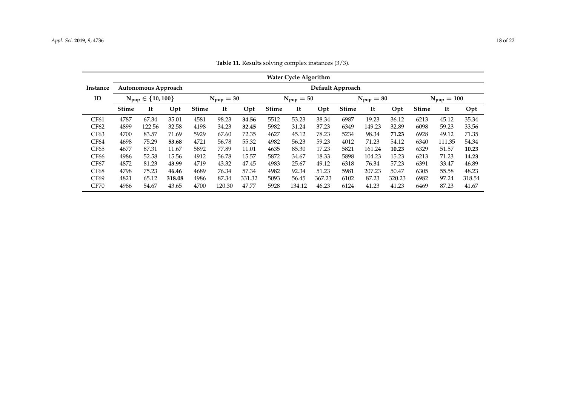<span id="page-17-0"></span>

|                  |              |                           |        |              |                |        |              | <b>Water Cycle Algorithm</b> |        |                  |                |        |              |                        |        |
|------------------|--------------|---------------------------|--------|--------------|----------------|--------|--------------|------------------------------|--------|------------------|----------------|--------|--------------|------------------------|--------|
| Instance         |              | Autonomous Approach       |        |              |                |        |              |                              |        | Default Approach |                |        |              |                        |        |
| ID               |              | $N_{pop} \in \{10, 100\}$ |        |              | $N_{pop} = 30$ |        |              | $N_{pop} = 50$               |        |                  | $N_{pop} = 80$ |        |              | $N_{\text{pop}} = 100$ |        |
|                  | <b>Stime</b> | It                        | Opt    | <b>Stime</b> | It             | Opt    | <b>Stime</b> | It                           | Opt    | <b>Stime</b>     | It             | Opt    | <b>Stime</b> | It                     | Opt    |
| CF61             | 4787         | 67.34                     | 35.01  | 4581         | 98.23          | 34.56  | 5512         | 53.23                        | 38.34  | 6987             | 19.23          | 36.12  | 6213         | 45.12                  | 35.34  |
| CF62             | 4899         | 122.56                    | 32.58  | 4198         | 34.23          | 32.45  | 5982         | 31.24                        | 37.23  | 6349             | 149.23         | 32.89  | 6098         | 59.23                  | 33.56  |
| CF63             | 4700         | 83.57                     | 71.69  | 5929         | 67.60          | 72.35  | 4627         | 45.12                        | 78.23  | 5234             | 98.34          | 71.23  | 6928         | 49.12                  | 71.35  |
| CF64             | 4698         | 75.29                     | 53.68  | 4721         | 56.78          | 55.32  | 4982         | 56.23                        | 59.23  | 4012             | 71.23          | 54.12  | 6340         | 111.35                 | 54.34  |
| CF <sub>65</sub> | 4677         | 87.31                     | 11.67  | 5892         | 77.89          | 11.01  | 4635         | 85.30                        | 17.23  | 5821             | 161.24         | 10.23  | 6329         | 51.57                  | 10.23  |
| CF66             | 4986         | 52.58                     | 15.56  | 4912         | 56.78          | 15.57  | 5872         | 34.67                        | 18.33  | 5898             | 104.23         | 15.23  | 6213         | 71.23                  | 14.23  |
| <b>CF67</b>      | 4872         | 81.23                     | 43.99  | 4719         | 43.32          | 47.45  | 4983         | 25.67                        | 49.12  | 6318             | 76.34          | 57.23  | 6391         | 33.47                  | 46.89  |
| <b>CF68</b>      | 4798         | 75.23                     | 46.46  | 4689         | 76.34          | 57.34  | 4982         | 92.34                        | 51.23  | 5981             | 207.23         | 50.47  | 6305         | 55.58                  | 48.23  |
| CF69             | 4821         | 65.12                     | 318.08 | 4986         | 87.34          | 331.32 | 5093         | 56.45                        | 367.23 | 6102             | 87.23          | 320.23 | 6982         | 97.24                  | 318.54 |
| <b>CF70</b>      | 4986         | 54.67                     | 43.65  | 4700         | 120.30         | 47.77  | 5928         | 134.12                       | 46.23  | 6124             | 41.23          | 41.23  | 6469         | 87.23                  | 41.67  |

**Table 11.** Results solving complex instances (3/3).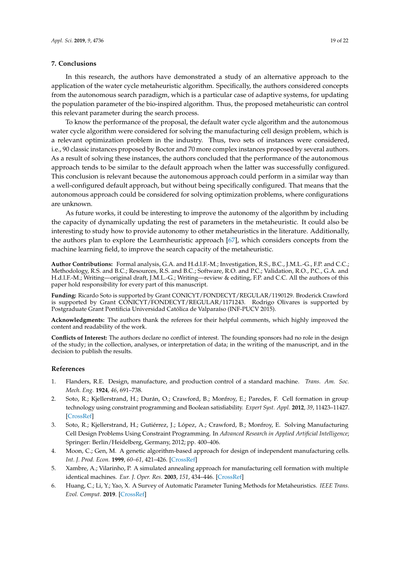## <span id="page-18-6"></span>**7. Conclusions**

In this research, the authors have demonstrated a study of an alternative approach to the application of the water cycle metaheuristic algorithm. Specifically, the authors considered concepts from the autonomous search paradigm, which is a particular case of adaptive systems, for updating the population parameter of the bio-inspired algorithm. Thus, the proposed metaheuristic can control this relevant parameter during the search process.

To know the performance of the proposal, the default water cycle algorithm and the autonomous water cycle algorithm were considered for solving the manufacturing cell design problem, which is a relevant optimization problem in the industry. Thus, two sets of instances were considered, i.e., 90 classic instances proposed by Boctor and 70 more complex instances proposed by several authors. As a result of solving these instances, the authors concluded that the performance of the autonomous approach tends to be similar to the default approach when the latter was successfully configured. This conclusion is relevant because the autonomous approach could perform in a similar way than a well-configured default approach, but without being specifically configured. That means that the autonomous approach could be considered for solving optimization problems, where configurations are unknown.

As future works, it could be interesting to improve the autonomy of the algorithm by including the capacity of dynamically updating the rest of parameters in the metaheuristic. It could also be interesting to study how to provide autonomy to other metaheuristics in the literature. Additionally, the authors plan to explore the Learnheuristic approach [\[67\]](#page-21-10), which considers concepts from the machine learning field, to improve the search capacity of the metaheuristic.

**Author Contributions:** Formal analysis, G.A. and H.d.l.F.-M.; Investigation, R.S., B.C., J.M.L.-G., F.P. and C.C.; Methodology, R.S. and B.C.; Resources, R.S. and B.C.; Software, R.O. and P.C.; Validation, R.O., P.C., G.A. and H.d.l.F.-M.; Writing—original draft, J.M.L.-G.; Writing—review & editing, F.P. and C.C. All the authors of this paper hold responsibility for every part of this manuscript.

**Funding:** Ricardo Soto is supported by Grant CONICYT/FONDECYT/REGULAR/1190129. Broderick Crawford is supported by Grant CONICYT/FONDECYT/REGULAR/1171243. Rodrigo Olivares is supported by Postgraduate Grant Pontificia Universidad Católica de Valparaíso (INF-PUCV 2015).

**Acknowledgments:** The authors thank the referees for their helpful comments, which highly improved the content and readability of the work.

**Conflicts of Interest:** The authors declare no conflict of interest. The founding sponsors had no role in the design of the study; in the collection, analyses, or interpretation of data; in the writing of the manuscript, and in the decision to publish the results.

#### **References**

- <span id="page-18-0"></span>1. Flanders, R.E. Design, manufacture, and production control of a standard machine. *Trans. Am. Soc. Mech. Eng.* **1924**, *46*, 691–738.
- <span id="page-18-1"></span>2. Soto, R.; Kjellerstrand, H.; Durán, O.; Crawford, B.; Monfroy, E.; Paredes, F. Cell formation in group technology using constraint programming and Boolean satisfiability. *Expert Syst. Appl.* **2012**, *39*, 11423–11427. [\[CrossRef\]](http://dx.doi.org/10.1016/j.eswa.2012.04.020)
- <span id="page-18-2"></span>3. Soto, R.; Kjellerstrand, H.; Gutiérrez, J.; López, A.; Crawford, B.; Monfroy, E. Solving Manufacturing Cell Design Problems Using Constraint Programming. In *Advanced Research in Applied Artificial Intelligence*; Springer: Berlin/Heidelberg, Germany, 2012; pp. 400–406.
- <span id="page-18-3"></span>4. Moon, C.; Gen, M. A genetic algorithm-based approach for design of independent manufacturing cells. *Int. J. Prod. Econ.* **1999**, *60–61*, 421–426. [\[CrossRef\]](http://dx.doi.org/10.1016/S0925-5273(98)00167-4)
- <span id="page-18-4"></span>5. Xambre, A.; Vilarinho, P. A simulated annealing approach for manufacturing cell formation with multiple identical machines. *Eur. J. Oper. Res.* **2003**, *151*, 434–446. [\[CrossRef\]](http://dx.doi.org/10.1016/S0377-2217(02)00836-6)
- <span id="page-18-5"></span>6. Huang, C.; Li, Y.; Yao, X. A Survey of Automatic Parameter Tuning Methods for Metaheuristics. *IEEE Trans. Evol. Comput.* **2019**. [\[CrossRef\]](http://dx.doi.org/10.1109/TEVC.2019.2921598)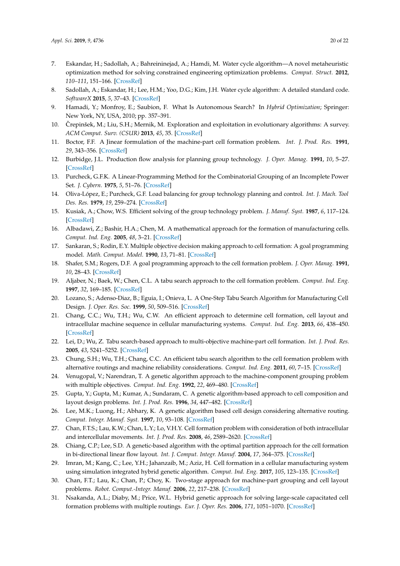- <span id="page-19-0"></span>7. Eskandar, H.; Sadollah, A.; Bahreininejad, A.; Hamdi, M. Water cycle algorithm—A novel metaheuristic optimization method for solving constrained engineering optimization problems. *Comput. Struct.* **2012**, *110–111*, 151–166. [\[CrossRef\]](http://dx.doi.org/10.1016/j.compstruc.2012.07.010)
- <span id="page-19-1"></span>8. Sadollah, A.; Eskandar, H.; Lee, H.M.; Yoo, D.G.; Kim, J.H. Water cycle algorithm: A detailed standard code. *SoftwareX* **2015**, *5*, 37–43. [\[CrossRef\]](http://dx.doi.org/10.1016/j.softx.2016.03.001)
- <span id="page-19-2"></span>9. Hamadi, Y.; Monfroy, E.; Saubion, F. What Is Autonomous Search? In *Hybrid Optimization*; Springer: New York, NY, USA, 2010; pp. 357–391.
- <span id="page-19-3"></span>10. Črepinšek, M.; Liu, S.H.; Mernik, M. Exploration and exploitation in evolutionary algorithms: A survey. *ACM Comput. Surv. (CSUR)* **2013**, *45*, 35. [\[CrossRef\]](http://dx.doi.org/10.1145/2480741.2480752)
- <span id="page-19-4"></span>11. Boctor, F.F. A Jinear formulation of the machine-part cell formation problem. *Int. J. Prod. Res.* **1991**, *29*, 343–356. [\[CrossRef\]](http://dx.doi.org/10.1080/00207549108930075)
- <span id="page-19-5"></span>12. Burbidge, J.L. Production flow analysis for planning group technology. *J. Oper. Manag.* **1991**, *10*, 5–27. [\[CrossRef\]](http://dx.doi.org/10.1016/0272-6963(91)90033-T)
- <span id="page-19-6"></span>13. Purcheck, G.F.K. A Linear-Programming Method for the Combinatorial Grouping of an Incomplete Power Set. *J. Cybern.* **1975**, *5*, 51–76. [\[CrossRef\]](http://dx.doi.org/10.1080/01969727508545920)
- 14. Oliva-López, E.; Purcheck, G.F. Load balancing for group technology planning and control. *Int. J. Mach. Tool Des. Res.* **1979**, *19*, 259–274. [\[CrossRef\]](http://dx.doi.org/10.1016/0020-7357(79)90015-5)
- 15. Kusiak, A.; Chow, W.S. Efficient solving of the group technology problem. *J. Manuf. Syst.* **1987**, *6*, 117–124. [\[CrossRef\]](http://dx.doi.org/10.1016/0278-6125(87)90035-5)
- 16. Albadawi, Z.; Bashir, H.A.; Chen, M. A mathematical approach for the formation of manufacturing cells. *Comput. Ind. Eng.* **2005**, *48*, 3–21. [\[CrossRef\]](http://dx.doi.org/10.1016/j.cie.2004.06.008)
- 17. Sankaran, S.; Rodin, E.Y. Multiple objective decision making approach to cell formation: A goal programming model. *Math. Comput. Model.* **1990**, *13*, 71–81. [\[CrossRef\]](http://dx.doi.org/10.1016/0895-7177(90)90079-3)
- <span id="page-19-7"></span>18. Shafer, S.M.; Rogers, D.F. A goal programming approach to the cell formation problem. *J. Oper. Manag.* **1991**, *10*, 28–43. [\[CrossRef\]](http://dx.doi.org/10.1016/0272-6963(91)90034-U)
- <span id="page-19-8"></span>19. Aljaber, N.; Baek, W.; Chen, C.L. A tabu search approach to the cell formation problem. *Comput. Ind. Eng.* **1997**, *32*, 169–185. [\[CrossRef\]](http://dx.doi.org/10.1016/S0360-8352(96)00208-2)
- 20. Lozano, S.; Adenso-Diaz, B.; Eguia, I.; Onieva, L. A One-Step Tabu Search Algorithm for Manufacturing Cell Design. *J. Oper. Res. Soc.* **1999**, *50*, 509–516. [\[CrossRef\]](http://dx.doi.org/10.1057/palgrave.jors.2600704)
- 21. Chang, C.C.; Wu, T.H.; Wu, C.W. An efficient approach to determine cell formation, cell layout and intracellular machine sequence in cellular manufacturing systems. *Comput. Ind. Eng.* **2013**, *66*, 438–450. [\[CrossRef\]](http://dx.doi.org/10.1016/j.cie.2013.07.009)
- 22. Lei, D.; Wu, Z. Tabu search-based approach to multi-objective machine-part cell formation. *Int. J. Prod. Res.* **2005**, *43*, 5241–5252. [\[CrossRef\]](http://dx.doi.org/10.1080/00207540500216516)
- <span id="page-19-9"></span>23. Chung, S.H.; Wu, T.H.; Chang, C.C. An efficient tabu search algorithm to the cell formation problem with alternative routings and machine reliability considerations. *Comput. Ind. Eng.* **2011**, *60*, 7–15. [\[CrossRef\]](http://dx.doi.org/10.1016/j.cie.2010.08.016)
- <span id="page-19-10"></span>24. Venugopal, V.; Narendran, T. A genetic algorithm approach to the machine-component grouping problem with multiple objectives. *Comput. Ind. Eng.* **1992**, *22*, 469–480. [\[CrossRef\]](http://dx.doi.org/10.1016/0360-8352(92)90022-C)
- <span id="page-19-11"></span>25. Gupta, Y.; Gupta, M.; Kumar, A.; Sundaram, C. A genetic algorithm-based approach to cell composition and layout design problems. *Int. J. Prod. Res.* **1996**, *34*, 447–482. [\[CrossRef\]](http://dx.doi.org/10.1080/00207549608904913)
- <span id="page-19-12"></span>26. Lee, M.K.; Luong, H.; Abhary, K. A genetic algorithm based cell design considering alternative routing. *Comput. Integr. Manuf. Syst.* **1997**, *10*, 93–108. [\[CrossRef\]](http://dx.doi.org/10.1016/S0951-5240(97)00001-3)
- <span id="page-19-13"></span>27. Chan, F.T.S.; Lau, K.W.; Chan, L.Y.; Lo, V.H.Y. Cell formation problem with consideration of both intracellular and intercellular movements. *Int. J. Prod. Res.* **2008**, *46*, 2589–2620. [\[CrossRef\]](http://dx.doi.org/10.1080/00207540500478843)
- <span id="page-19-14"></span>28. Chiang, C.P.; Lee, S.D. A genetic-based algorithm with the optimal partition approach for the cell formation in bi-directional linear flow layout. *Int. J. Comput. Integr. Manuf.* **2004**, *17*, 364–375. [\[CrossRef\]](http://dx.doi.org/10.1080/09511920310001640512)
- <span id="page-19-15"></span>29. Imran, M.; Kang, C.; Lee, Y.H.; Jahanzaib, M.; Aziz, H. Cell formation in a cellular manufacturing system using simulation integrated hybrid genetic algorithm. *Comput. Ind. Eng.* **2017**, *105*, 123–135. [\[CrossRef\]](http://dx.doi.org/10.1016/j.cie.2016.12.028)
- <span id="page-19-16"></span>30. Chan, F.T.; Lau, K.; Chan, P.; Choy, K. Two-stage approach for machine-part grouping and cell layout problems. *Robot. Comput.-Integr. Manuf.* **2006**, *22*, 217–238. [\[CrossRef\]](http://dx.doi.org/10.1016/j.rcim.2005.04.002)
- <span id="page-19-17"></span>31. Nsakanda, A.L.; Diaby, M.; Price, W.L. Hybrid genetic approach for solving large-scale capacitated cell formation problems with multiple routings. *Eur. J. Oper. Res.* **2006**, *171*, 1051–1070. [\[CrossRef\]](http://dx.doi.org/10.1016/j.ejor.2005.01.017)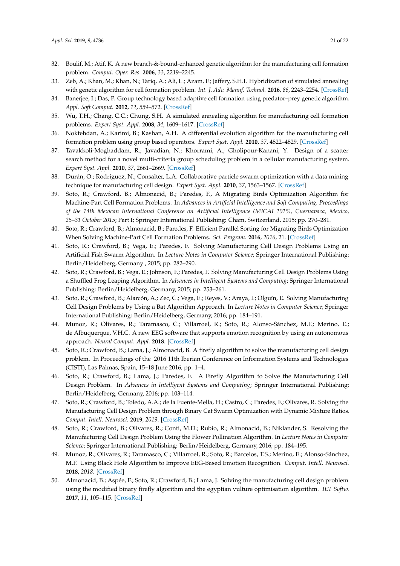- 32. Boulif, M.; Atif, K. A new branch-&-bound-enhanced genetic algorithm for the manufacturing cell formation problem. *Comput. Oper. Res.* **2006**, *33*, 2219–2245.
- 33. Zeb, A.; Khan, M.; Khan, N.; Tariq, A.; Ali, L.; Azam, F.; Jaffery, S.H.I. Hybridization of simulated annealing with genetic algorithm for cell formation problem. *Int. J. Adv. Manuf. Technol.* **2016**, *86*, 2243–2254. [\[CrossRef\]](http://dx.doi.org/10.1007/s00170-015-8288-3)
- <span id="page-20-0"></span>34. Banerjee, I.; Das, P. Group technology based adaptive cell formation using predator–prey genetic algorithm. *Appl. Soft Comput.* **2012**, *12*, 559–572. [\[CrossRef\]](http://dx.doi.org/10.1016/j.asoc.2011.07.021)
- <span id="page-20-1"></span>35. Wu, T.H.; Chang, C.C.; Chung, S.H. A simulated annealing algorithm for manufacturing cell formation problems. *Expert Syst. Appl.* **2008**, *34*, 1609–1617. [\[CrossRef\]](http://dx.doi.org/10.1016/j.eswa.2007.01.012)
- 36. Noktehdan, A.; Karimi, B.; Kashan, A.H. A differential evolution algorithm for the manufacturing cell formation problem using group based operators. *Expert Syst. Appl.* **2010**, *37*, 4822–4829. [\[CrossRef\]](http://dx.doi.org/10.1016/j.eswa.2009.12.033)
- 37. Tavakkoli-Moghaddam, R.; Javadian, N.; Khorrami, A.; Gholipour-Kanani, Y. Design of a scatter search method for a novel multi-criteria group scheduling problem in a cellular manufacturing system. *Expert Syst. Appl.* **2010**, *37*, 2661–2669. [\[CrossRef\]](http://dx.doi.org/10.1016/j.eswa.2009.08.012)
- <span id="page-20-2"></span>38. Durán, O.; Rodriguez, N.; Consalter, L.A. Collaborative particle swarm optimization with a data mining technique for manufacturing cell design. *Expert Syst. Appl.* **2010**, *37*, 1563–1567. [\[CrossRef\]](http://dx.doi.org/10.1016/j.eswa.2009.06.061)
- <span id="page-20-3"></span>39. Soto, R.; Crawford, B.; Almonacid, B.; Paredes, F., A Migrating Birds Optimization Algorithm for Machine-Part Cell Formation Problems. In *Advances in Artificial Intelligence and Soft Computing, Proceedings of the 14th Mexican International Conference on Artificial Intelligence (MICAI 2015), Cuernavaca, Mexico, 25–31 October 2015*; Part I; Springer International Publishing: Cham, Switzerland, 2015; pp. 270–281.
- <span id="page-20-4"></span>40. Soto, R.; Crawford, B.; Almonacid, B.; Paredes, F. Efficient Parallel Sorting for Migrating Birds Optimization When Solving Machine-Part Cell Formation Problems. *Sci. Program.* **2016**, *2016*, 21. [\[CrossRef\]](http://dx.doi.org/10.1155/2016/9402503)
- <span id="page-20-5"></span>41. Soto, R.; Crawford, B.; Vega, E.; Paredes, F. Solving Manufacturing Cell Design Problems Using an Artificial Fish Swarm Algorithm. In *Lecture Notes in Computer Science*; Springer International Publishing: Berlin/Heidelberg, Germany , 2015; pp. 282–290.
- <span id="page-20-6"></span>42. Soto, R.; Crawford, B.; Vega, E.; Johnson, F.; Paredes, F. Solving Manufacturing Cell Design Problems Using a Shuffled Frog Leaping Algorithm. In *Advances in Intelligent Systems and Computing*; Springer International Publishing: Berlin/Heidelberg, Germany, 2015; pp. 253–261.
- <span id="page-20-7"></span>43. Soto, R.; Crawford, B.; Alarcón, A.; Zec, C.; Vega, E.; Reyes, V.; Araya, I.; Olguín, E. Solving Manufacturing Cell Design Problems by Using a Bat Algorithm Approach. In *Lecture Notes in Computer Science*; Springer International Publishing: Berlin/Heidelberg, Germany, 2016; pp. 184–191.
- <span id="page-20-8"></span>44. Munoz, R.; Olivares, R.; Taramasco, C.; Villarroel, R.; Soto, R.; Alonso-Sánchez, M.F.; Merino, E.; de Albuquerque, V.H.C. A new EEG software that supports emotion recognition by using an autonomous approach. *Neural Comput. Appl.* **2018**. [\[CrossRef\]](http://dx.doi.org/10.1007/s00521-018-3925-z)
- <span id="page-20-9"></span>45. Soto, R.; Crawford, B.; Lama, J.; Almonacid, B. A firefly algorithm to solve the manufacturing cell design problem. In Proceedings of the 2016 11th Iberian Conference on Information Systems and Technologies (CISTI), Las Palmas, Spain, 15–18 June 2016; pp. 1–4.
- <span id="page-20-10"></span>46. Soto, R.; Crawford, B.; Lama, J.; Paredes, F. A Firefly Algorithm to Solve the Manufacturing Cell Design Problem. In *Advances in Intelligent Systems and Computing*; Springer International Publishing: Berlin/Heidelberg, Germany, 2016; pp. 103–114.
- <span id="page-20-11"></span>47. Soto, R.; Crawford, B.; Toledo, A.A.; de la Fuente-Mella, H.; Castro, C.; Paredes, F.; Olivares, R. Solving the Manufacturing Cell Design Problem through Binary Cat Swarm Optimization with Dynamic Mixture Ratios. *Comput. Intell. Neurosci.* **2019**, *2019*. [\[CrossRef\]](http://dx.doi.org/10.1155/2019/4787856)
- <span id="page-20-12"></span>48. Soto, R.; Crawford, B.; Olivares, R.; Conti, M.D.; Rubio, R.; Almonacid, B.; Niklander, S. Resolving the Manufacturing Cell Design Problem Using the Flower Pollination Algorithm. In *Lecture Notes in Computer Science*; Springer International Publishing: Berlin/Heidelberg, Germany, 2016; pp. 184–195.
- <span id="page-20-13"></span>49. Munoz, R.; Olivares, R.; Taramasco, C.; Villarroel, R.; Soto, R.; Barcelos, T.S.; Merino, E.; Alonso-Sánchez, M.F. Using Black Hole Algorithm to Improve EEG-Based Emotion Recognition. *Comput. Intell. Neurosci.* **2018**, *2018*. [\[CrossRef\]](http://dx.doi.org/10.1155/2018/3050214)
- <span id="page-20-14"></span>50. Almonacid, B.; Aspée, F.; Soto, R.; Crawford, B.; Lama, J. Solving the manufacturing cell design problem using the modified binary firefly algorithm and the egyptian vulture optimisation algorithm. *IET Softw.* **2017**, *11*, 105–115. [\[CrossRef\]](http://dx.doi.org/10.1049/iet-sen.2016.0196)